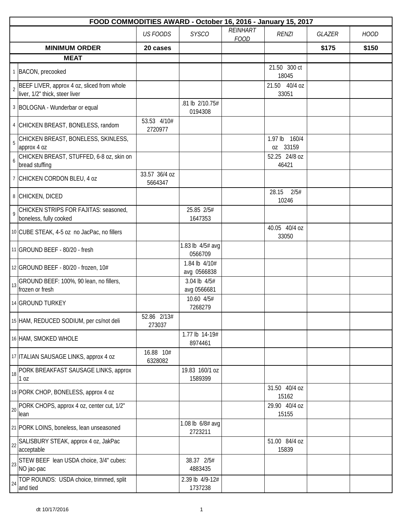|                                                                                                |                          | FOOD COMMODITIES AWARD - October 16, 2016 - January 15, 2017 |                         |                                         |        |             |  |  |  |  |  |
|------------------------------------------------------------------------------------------------|--------------------------|--------------------------------------------------------------|-------------------------|-----------------------------------------|--------|-------------|--|--|--|--|--|
|                                                                                                | <b>US FOODS</b>          | <b>SYSCO</b>                                                 | REINHART<br><b>FOOD</b> | <b>RENZI</b>                            | GLAZER | <b>HOOD</b> |  |  |  |  |  |
| <b>MINIMUM ORDER</b>                                                                           | 20 cases                 |                                                              |                         |                                         | \$175  | \$150       |  |  |  |  |  |
| <b>MEAT</b>                                                                                    |                          |                                                              |                         |                                         |        |             |  |  |  |  |  |
| 1 BACON, precooked                                                                             |                          |                                                              |                         | 21.50 300 ct<br>18045                   |        |             |  |  |  |  |  |
| BEEF LIVER, approx 4 oz, sliced from whole<br>$\overline{2}$<br>liver, 1/2" thick, steer liver |                          |                                                              |                         | 21.50 40/4 oz<br>33051                  |        |             |  |  |  |  |  |
| 3 BOLOGNA - Wunderbar or equal                                                                 |                          | .81 lb 2/10.75#<br>0194308                                   |                         |                                         |        |             |  |  |  |  |  |
| 4 CHICKEN BREAST, BONELESS, random                                                             | 53.53 4/10#<br>2720977   |                                                              |                         |                                         |        |             |  |  |  |  |  |
| CHICKEN BREAST, BONELESS, SKINLESS,<br>$\overline{5}$<br>approx 4 oz                           |                          |                                                              |                         | 1.97 <sub>lb</sub><br>160/4<br>oz 33159 |        |             |  |  |  |  |  |
| CHICKEN BREAST, STUFFED, 6-8 oz, skin on<br>$\boldsymbol{6}$<br>bread stuffing                 |                          |                                                              |                         | 52.25 24/8 oz<br>46421                  |        |             |  |  |  |  |  |
| 7 CHICKEN CORDON BLEU, 4 oz                                                                    | 33.57 36/4 oz<br>5664347 |                                                              |                         |                                         |        |             |  |  |  |  |  |
| 8 CHICKEN, DICED                                                                               |                          |                                                              |                         | 2/5#<br>28.15<br>10246                  |        |             |  |  |  |  |  |
| CHICKEN STRIPS FOR FAJITAS: seasoned,<br>$\overline{9}$<br>boneless, fully cooked              |                          | 25.85 2/5#<br>1647353                                        |                         |                                         |        |             |  |  |  |  |  |
| 10 CUBE STEAK, 4-5 oz no JacPac, no fillers                                                    |                          |                                                              |                         | 40.05 40/4 oz<br>33050                  |        |             |  |  |  |  |  |
| 11 GROUND BEEF - 80/20 - fresh                                                                 |                          | 1.83 lb 4/5# avg<br>0566709                                  |                         |                                         |        |             |  |  |  |  |  |
| 12 GROUND BEEF - 80/20 - frozen, 10#                                                           |                          | 1.84 lb 4/10#<br>avg 0566838                                 |                         |                                         |        |             |  |  |  |  |  |
| GROUND BEEF: 100%, 90 lean, no fillers,<br>13<br>frozen or fresh                               |                          | 3.04 lb 4/5#<br>avg 0566681                                  |                         |                                         |        |             |  |  |  |  |  |
| 14 GROUND TURKEY                                                                               |                          | 10.60 4/5#<br>7268279                                        |                         |                                         |        |             |  |  |  |  |  |
| 15 HAM, REDUCED SODIUM, per cs/not deli                                                        | 52.86 2/13#<br>273037    |                                                              |                         |                                         |        |             |  |  |  |  |  |
| 16 HAM, SMOKED WHOLE                                                                           |                          | 1.77 lb 14-19#<br>8974461                                    |                         |                                         |        |             |  |  |  |  |  |
| 17 ITALIAN SAUSAGE LINKS, approx 4 oz                                                          | 16.88 10#<br>6328082     |                                                              |                         |                                         |        |             |  |  |  |  |  |
| PORK BREAKFAST SAUSAGE LINKS, approx<br>18<br>1 <sub>0Z</sub>                                  |                          | 19.83 160/1 oz<br>1589399                                    |                         |                                         |        |             |  |  |  |  |  |
| 19 PORK CHOP, BONELESS, approx 4 oz                                                            |                          |                                                              |                         | 31.50 40/4 oz<br>15162                  |        |             |  |  |  |  |  |
| PORK CHOPS, approx 4 oz, center cut, 1/2"<br>20<br>lean                                        |                          |                                                              |                         | 29.90 40/4 oz<br>15155                  |        |             |  |  |  |  |  |
| 21 PORK LOINS, boneless, lean unseasoned                                                       |                          | 1.08 lb 6/8# avg<br>2723211                                  |                         |                                         |        |             |  |  |  |  |  |
| SALISBURY STEAK, approx 4 oz, JakPac<br>22<br>acceptable                                       |                          |                                                              |                         | 51.00 84/4 oz<br>15839                  |        |             |  |  |  |  |  |
| STEW BEEF lean USDA choice, 3/4" cubes:<br>23<br>NO jac-pac                                    |                          | 38.37 2/5#<br>4883435                                        |                         |                                         |        |             |  |  |  |  |  |
| TOP ROUNDS: USDA choice, trimmed, split<br>24<br>and tied                                      |                          | 2.39 lb 4/9-12#<br>1737238                                   |                         |                                         |        |             |  |  |  |  |  |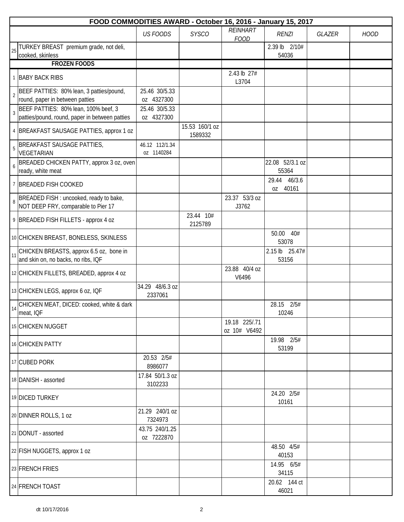|                | FOOD COMMODITIES AWARD - October 16, 2016 - January 15, 2017                   |                              |                           |                                |                          |        |             |  |  |  |  |
|----------------|--------------------------------------------------------------------------------|------------------------------|---------------------------|--------------------------------|--------------------------|--------|-------------|--|--|--|--|
|                |                                                                                | <b>US FOODS</b>              | <b>SYSCO</b>              | <b>REINHART</b><br><b>FOOD</b> | <b>RENZI</b>             | GLAZER | <b>HOOD</b> |  |  |  |  |
| 25             | TURKEY BREAST premium grade, not deli,<br>cooked, skinless                     |                              |                           |                                | 2.39 lb 2/10#<br>54036   |        |             |  |  |  |  |
|                | <b>FROZEN FOODS</b>                                                            |                              |                           |                                |                          |        |             |  |  |  |  |
|                | 1 BABY BACK RIBS                                                               |                              |                           | 2.43 lb 27#<br>L3704           |                          |        |             |  |  |  |  |
| $\overline{2}$ | BEEF PATTIES: 80% lean, 3 patties/pound,<br>round, paper in between patties    | 25.46 30/5.33<br>oz 4327300  |                           |                                |                          |        |             |  |  |  |  |
|                | BEEF PATTIES: 80% lean, 100% beef, 3                                           | 25.46 30/5.33                |                           |                                |                          |        |             |  |  |  |  |
| $\overline{3}$ | patties/pound, round, paper in between patties                                 | oz 4327300                   |                           |                                |                          |        |             |  |  |  |  |
|                | 4   BREAKFAST SAUSAGE PATTIES, approx 1 oz                                     |                              | 15.53 160/1 oz<br>1589332 |                                |                          |        |             |  |  |  |  |
| $\overline{5}$ | BREAKFAST SAUSAGE PATTIES,<br>VEGETARIAN                                       | 46.12 112/1.34<br>oz 1140284 |                           |                                |                          |        |             |  |  |  |  |
| 6              | BREADED CHICKEN PATTY, approx 3 oz, oven<br>ready, white meat                  |                              |                           |                                | 22.08 52/3.1 oz<br>55364 |        |             |  |  |  |  |
|                | 7 BREADED FISH COOKED                                                          |                              |                           |                                | 29.44 46/3.6<br>oz 40161 |        |             |  |  |  |  |
| 8              | BREADED FISH : uncooked, ready to bake,<br>NOT DEEP FRY, comparable to Pier 17 |                              |                           | 23.37 53/3 oz<br>J3762         |                          |        |             |  |  |  |  |
|                | 9 BREADED FISH FILLETS - approx 4 oz                                           |                              | 23.44 10#<br>2125789      |                                |                          |        |             |  |  |  |  |
|                | 10 CHICKEN BREAST, BONELESS, SKINLESS                                          |                              |                           |                                | 50.00 40#<br>53078       |        |             |  |  |  |  |
| 11             | CHICKEN BREASTS, approx 6.5 oz, bone in<br>and skin on, no backs, no ribs, IQF |                              |                           |                                | 2.15 lb 25.47#<br>53156  |        |             |  |  |  |  |
|                | 12 CHICKEN FILLETS, BREADED, approx 4 oz                                       |                              |                           | 23.88 40/4 oz<br>V6496         |                          |        |             |  |  |  |  |
|                | 13 CHICKEN LEGS, approx 6 oz, IQF                                              | 34.29 48/6.3 oz<br>2337061   |                           |                                |                          |        |             |  |  |  |  |
| 14             | CHICKEN MEAT, DICED: cooked, white & dark<br>meat, IQF                         |                              |                           |                                | 28.15 2/5#<br>10246      |        |             |  |  |  |  |
|                | 15 CHICKEN NUGGET                                                              |                              |                           | 19.18 225/.71<br>oz 10# V6492  |                          |        |             |  |  |  |  |
|                | 16 CHICKEN PATTY                                                               |                              |                           |                                | 19.98 2/5#<br>53199      |        |             |  |  |  |  |
|                | 17 CUBED PORK                                                                  | 20.53 2/5#<br>8986077        |                           |                                |                          |        |             |  |  |  |  |
|                | 18 DANISH - assorted                                                           | 17.84 50/1.3 oz<br>3102233   |                           |                                |                          |        |             |  |  |  |  |
|                | 19 DICED TURKEY                                                                |                              |                           |                                | 24.20 2/5#<br>10161      |        |             |  |  |  |  |
|                | 20 DINNER ROLLS, 1 oz                                                          | 21.29 240/1 oz<br>7324973    |                           |                                |                          |        |             |  |  |  |  |
|                | 21 DONUT - assorted                                                            | 43.75 240/1.25<br>oz 7222870 |                           |                                |                          |        |             |  |  |  |  |
|                | 22 FISH NUGGETS, approx 1 oz                                                   |                              |                           |                                | 48.50 4/5#<br>40153      |        |             |  |  |  |  |
|                | 23 FRENCH FRIES                                                                |                              |                           |                                | 14.95 6/5#<br>34115      |        |             |  |  |  |  |
|                | 24 FRENCH TOAST                                                                |                              |                           |                                | 20.62 144 ct<br>46021    |        |             |  |  |  |  |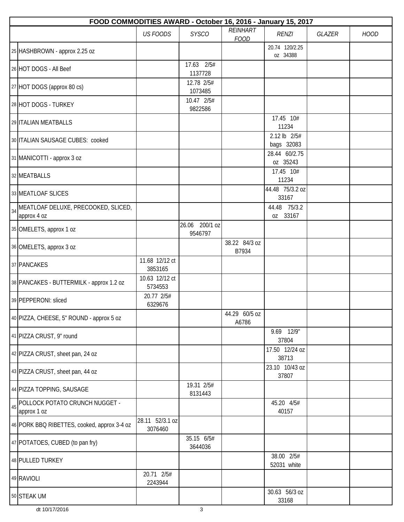|    | FOOD COMMODITIES AWARD - October 16, 2016 - January 15, 2017 |                            |                           |                         |                            |        |             |  |  |  |  |
|----|--------------------------------------------------------------|----------------------------|---------------------------|-------------------------|----------------------------|--------|-------------|--|--|--|--|
|    |                                                              | <b>US FOODS</b>            | <b>SYSCO</b>              | REINHART<br><b>FOOD</b> | <b>RENZI</b>               | GLAZER | <b>HOOD</b> |  |  |  |  |
|    | 25 HASHBROWN - approx 2.25 oz                                |                            |                           |                         | 20.74 120/2.25<br>oz 34388 |        |             |  |  |  |  |
|    | 26 HOT DOGS - All Beef                                       |                            | 17.63 2/5#<br>1137728     |                         |                            |        |             |  |  |  |  |
|    | 27 HOT DOGS (approx 80 cs)                                   |                            | 12.78 2/5#<br>1073485     |                         |                            |        |             |  |  |  |  |
|    | 28 HOT DOGS - TURKEY                                         |                            | 10.47 2/5#<br>9822586     |                         |                            |        |             |  |  |  |  |
|    | 29 ITALIAN MEATBALLS                                         |                            |                           |                         | 17.45 10#<br>11234         |        |             |  |  |  |  |
|    | 30 ITALIAN SAUSAGE CUBES: cooked                             |                            |                           |                         | 2.12 lb 2/5#<br>bags 32083 |        |             |  |  |  |  |
|    | 31 MANICOTTI - approx 3 oz                                   |                            |                           |                         | 28.44 60/2.75<br>oz 35243  |        |             |  |  |  |  |
|    | 32 MEATBALLS                                                 |                            |                           |                         | 17.45 10#<br>11234         |        |             |  |  |  |  |
|    | 33 MEATLOAF SLICES                                           |                            |                           |                         | 44.48 75/3.2 oz<br>33167   |        |             |  |  |  |  |
| 34 | MEATLOAF DELUXE, PRECOOKED, SLICED,<br>approx 4 oz           |                            |                           |                         | 44.48 75/3.2<br>oz 33167   |        |             |  |  |  |  |
|    | 35 OMELETS, approx 1 oz                                      |                            | 26.06 200/1 oz<br>9546797 |                         |                            |        |             |  |  |  |  |
|    | 36 OMELETS, approx 3 oz                                      |                            |                           | 38.22 84/3 oz<br>B7934  |                            |        |             |  |  |  |  |
|    | 37 PANCAKES                                                  | 11.68 12/12 ct<br>3853165  |                           |                         |                            |        |             |  |  |  |  |
|    | 38 PANCAKES - BUTTERMILK - approx 1.2 oz                     | 10.63 12/12 ct<br>5734553  |                           |                         |                            |        |             |  |  |  |  |
|    | 39 PEPPERONI: sliced                                         | 20.77 2/5#<br>6329676      |                           |                         |                            |        |             |  |  |  |  |
|    | 40 PIZZA, CHEESE, 5" ROUND - approx 5 oz                     |                            |                           | 44.29 60/5 oz<br>A6786  |                            |        |             |  |  |  |  |
|    | 41 PIZZA CRUST, 9" round                                     |                            |                           |                         | 9.69 12/9"<br>37804        |        |             |  |  |  |  |
|    | 42 PIZZA CRUST, sheet pan, 24 oz                             |                            |                           |                         | 17.50 12/24 oz<br>38713    |        |             |  |  |  |  |
|    | 43 PIZZA CRUST, sheet pan, 44 oz                             |                            |                           |                         | 23.10 10/43 oz<br>37807    |        |             |  |  |  |  |
|    | 44 PIZZA TOPPING, SAUSAGE                                    |                            | 19.31 2/5#<br>8131443     |                         |                            |        |             |  |  |  |  |
| 45 | POLLOCK POTATO CRUNCH NUGGET -<br>approx 1 oz                |                            |                           |                         | 45.20 4/5#<br>40157        |        |             |  |  |  |  |
|    | 46 PORK BBQ RIBETTES, cooked, approx 3-4 oz                  | 28.11 52/3.1 oz<br>3076460 |                           |                         |                            |        |             |  |  |  |  |
|    | 47 POTATOES, CUBED (to pan fry)                              |                            | 35.15 6/5#<br>3644036     |                         |                            |        |             |  |  |  |  |
|    | 48 PULLED TURKEY                                             |                            |                           |                         | 38.00 2/5#<br>52031 white  |        |             |  |  |  |  |
|    | 49 RAVIOLI                                                   | 20.71 2/5#<br>2243944      |                           |                         |                            |        |             |  |  |  |  |
|    | 50 STEAK UM                                                  |                            |                           |                         | 30.63 56/3 oz<br>33168     |        |             |  |  |  |  |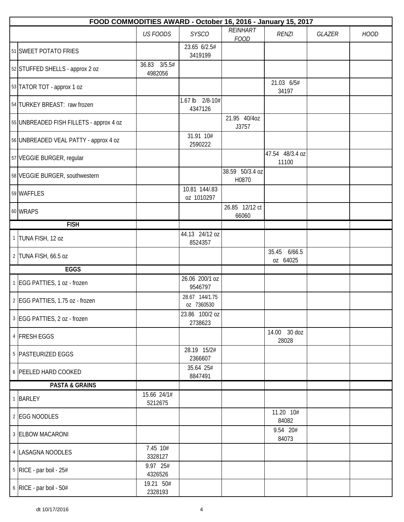| FOOD COMMODITIES AWARD - October 16, 2016 - January 15, 2017 |                         |                              |                          |                          |               |             |  |  |  |
|--------------------------------------------------------------|-------------------------|------------------------------|--------------------------|--------------------------|---------------|-------------|--|--|--|
|                                                              | <b>US FOODS</b>         | <b>SYSCO</b>                 | REINHART<br><b>FOOD</b>  | <b>RENZI</b>             | <b>GLAZER</b> | <b>HOOD</b> |  |  |  |
| 51 SWEET POTATO FRIES                                        |                         | 23.65 6/2.5#<br>3419199      |                          |                          |               |             |  |  |  |
| 52 STUFFED SHELLS - approx 2 oz                              | 36.83 3/5.5#<br>4982056 |                              |                          |                          |               |             |  |  |  |
| 53 TATOR TOT - approx 1 oz                                   |                         |                              |                          | 21.03 6/5#<br>34197      |               |             |  |  |  |
| 54 TURKEY BREAST: raw frozen                                 |                         | 1.67 lb 2/8-10#<br>4347126   |                          |                          |               |             |  |  |  |
| 55 UNBREADED FISH FILLETS - approx 4 oz                      |                         |                              | 21.95 40/4oz<br>J3757    |                          |               |             |  |  |  |
| 56 UNBREADED VEAL PATTY - approx 4 oz                        |                         | 31.91 10#<br>2590222         |                          |                          |               |             |  |  |  |
| 57 VEGGIE BURGER, regular                                    |                         |                              |                          | 47.54 48/3.4 oz<br>11100 |               |             |  |  |  |
| 58 VEGGIE BURGER, southwestern                               |                         |                              | 38.59 50/3.4 oz<br>H0870 |                          |               |             |  |  |  |
| 59 WAFFLES                                                   |                         | 10.81 144/.83<br>oz 1010297  |                          |                          |               |             |  |  |  |
| 60 WRAPS                                                     |                         |                              | 26.85 12/12 ct<br>66060  |                          |               |             |  |  |  |
| <b>FISH</b>                                                  |                         |                              |                          |                          |               |             |  |  |  |
| 1 TUNA FISH, 12 oz                                           |                         | 44.13 24/12 oz<br>8524357    |                          |                          |               |             |  |  |  |
| 2 TUNA FISH, 66.5 oz                                         |                         |                              |                          | 35.45 6/66.5<br>oz 64025 |               |             |  |  |  |
| EGGS                                                         |                         |                              |                          |                          |               |             |  |  |  |
| 1 EGG PATTIES, 1 oz - frozen                                 |                         | 26.06 200/1 oz<br>9546797    |                          |                          |               |             |  |  |  |
| 2 EGG PATTIES, 1.75 oz - frozen                              |                         | 28.67 144/1.75<br>oz 7360530 |                          |                          |               |             |  |  |  |
| 3 EGG PATTIES, 2 oz - frozen                                 |                         | 23.86 100/2 oz<br>2738623    |                          |                          |               |             |  |  |  |
| 4 FRESH EGGS                                                 |                         |                              |                          | 14.00 30 doz<br>28028    |               |             |  |  |  |
| 5 PASTEURIZED EGGS                                           |                         | 28.19 15/2#<br>2366607       |                          |                          |               |             |  |  |  |
| 6 PEELED HARD COOKED                                         |                         | 35.64 25#<br>8847491         |                          |                          |               |             |  |  |  |
| <b>PASTA &amp; GRAINS</b>                                    |                         |                              |                          |                          |               |             |  |  |  |
| 1 BARLEY                                                     | 15.66 24/1#<br>5212675  |                              |                          |                          |               |             |  |  |  |
| 2 EGG NOODLES                                                |                         |                              |                          | 11.20 10#<br>84082       |               |             |  |  |  |
| 3 ELBOW MACARONI                                             |                         |                              |                          | 9.54 20#<br>84073        |               |             |  |  |  |
| 4   LASAGNA NOODLES                                          | 7.45 10#<br>3328127     |                              |                          |                          |               |             |  |  |  |
| 5 RICE - par boil - 25#                                      | 9.97 25#<br>4326526     |                              |                          |                          |               |             |  |  |  |
| $6$ RICE - par boil - 50#                                    | 19.21 50#<br>2328193    |                              |                          |                          |               |             |  |  |  |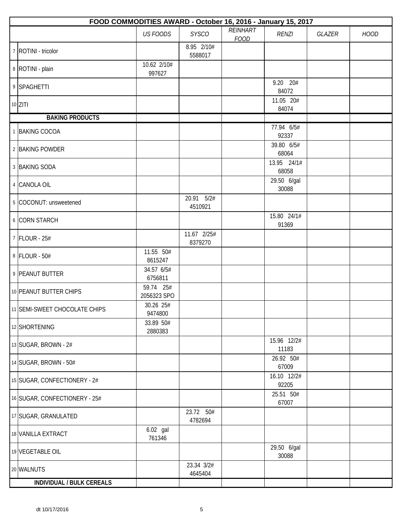| FOOD COMMODITIES AWARD - October 16, 2016 - January 15, 2017 |                          |                        |                         |                      |               |             |  |  |  |
|--------------------------------------------------------------|--------------------------|------------------------|-------------------------|----------------------|---------------|-------------|--|--|--|
|                                                              | <b>US FOODS</b>          | <b>SYSCO</b>           | REINHART<br><b>FOOD</b> | <b>RENZI</b>         | <b>GLAZER</b> | <b>HOOD</b> |  |  |  |
| 7 ROTINI - tricolor                                          |                          | 8.95 2/10#<br>5588017  |                         |                      |               |             |  |  |  |
| 8   ROTINI - plain                                           | 10.62 2/10#<br>997627    |                        |                         |                      |               |             |  |  |  |
| 9 SPAGHETTI                                                  |                          |                        |                         | 9.20 20#<br>84072    |               |             |  |  |  |
| $10$ ZITI                                                    |                          |                        |                         | 11.05 20#<br>84074   |               |             |  |  |  |
| <b>BAKING PRODUCTS</b>                                       |                          |                        |                         |                      |               |             |  |  |  |
| 1 BAKING COCOA                                               |                          |                        |                         | 77.94 6/5#<br>92337  |               |             |  |  |  |
| 2 BAKING POWDER                                              |                          |                        |                         | 39.80 6/5#<br>68064  |               |             |  |  |  |
| 3 BAKING SODA                                                |                          |                        |                         | 13.95 24/1#<br>68058 |               |             |  |  |  |
| 4 CANOLA OIL                                                 |                          |                        |                         | 29.50 6/gal<br>30088 |               |             |  |  |  |
| 5 COCONUT: unsweetened                                       |                          | 20.91 5/2#<br>4510921  |                         |                      |               |             |  |  |  |
| 6 CORN STARCH                                                |                          |                        |                         | 15.80 24/1#<br>91369 |               |             |  |  |  |
| 7 FLOUR - 25#                                                |                          | 11.67 2/25#<br>8379270 |                         |                      |               |             |  |  |  |
| 8 FLOUR - 50#                                                | 11.55 50#<br>8615247     |                        |                         |                      |               |             |  |  |  |
| 9 PEANUT BUTTER                                              | 34.57 6/5#<br>6756811    |                        |                         |                      |               |             |  |  |  |
| 10 PEANUT BUTTER CHIPS                                       | 59.74 25#<br>2056323 SPO |                        |                         |                      |               |             |  |  |  |
| 11 SEMI-SWEET CHOCOLATE CHIPS                                | 30.26 25#<br>9474800     |                        |                         |                      |               |             |  |  |  |
| 12 SHORTENING                                                | 33.89 50#<br>2880383     |                        |                         |                      |               |             |  |  |  |
| 13 SUGAR, BROWN - 2#                                         |                          |                        |                         | 15.96 12/2#<br>11183 |               |             |  |  |  |
| 14 SUGAR, BROWN - 50#                                        |                          |                        |                         | 26.92 50#<br>67009   |               |             |  |  |  |
| 15 SUGAR, CONFECTIONERY - 2#                                 |                          |                        |                         | 16.10 12/2#<br>92205 |               |             |  |  |  |
| 16 SUGAR, CONFECTIONERY - 25#                                |                          |                        |                         | 25.51 50#<br>67007   |               |             |  |  |  |
| 17 SUGAR, GRANULATED                                         |                          | 23.72 50#<br>4782694   |                         |                      |               |             |  |  |  |
| 18 VANILLA EXTRACT                                           | 6.02 gal<br>761346       |                        |                         |                      |               |             |  |  |  |
| 19 VEGETABLE OIL                                             |                          |                        |                         | 29.50 6/gal<br>30088 |               |             |  |  |  |
| 20 WALNUTS                                                   |                          | 23.34 3/2#<br>4645404  |                         |                      |               |             |  |  |  |
| INDIVIDUAL / BULK CEREALS                                    |                          |                        |                         |                      |               |             |  |  |  |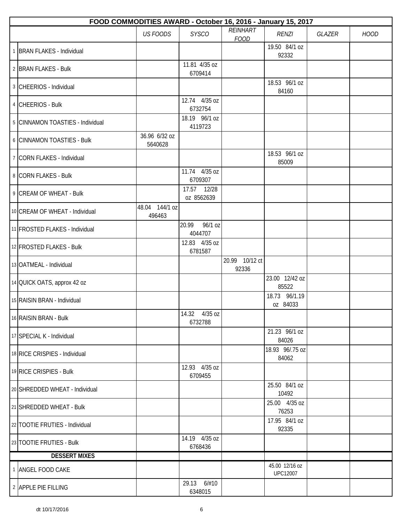| FOOD COMMODITIES AWARD - October 16, 2016 - January 15, 2017 |                          |                             |                         |                                   |        |             |  |  |  |
|--------------------------------------------------------------|--------------------------|-----------------------------|-------------------------|-----------------------------------|--------|-------------|--|--|--|
|                                                              | <b>US FOODS</b>          | <b>SYSCO</b>                | REINHART<br><b>FOOD</b> | <b>RENZI</b>                      | GLAZER | <b>HOOD</b> |  |  |  |
| 1 BRAN FLAKES - Individual                                   |                          |                             |                         | 19.50 84/1 oz<br>92332            |        |             |  |  |  |
| 2 BRAN FLAKES - Bulk                                         |                          | 11.81 4/35 oz<br>6709414    |                         |                                   |        |             |  |  |  |
| 3 CHEERIOS - Individual                                      |                          |                             |                         | 18.53 96/1 oz<br>84160            |        |             |  |  |  |
| 4 CHEERIOS - Bulk                                            |                          | 12.74 4/35 oz<br>6732754    |                         |                                   |        |             |  |  |  |
| 5 CINNAMON TOASTIES - Individual                             |                          | 18.19 96/1 oz<br>4119723    |                         |                                   |        |             |  |  |  |
| 6 CINNAMON TOASTIES - Bulk                                   | 36.96 6/32 oz<br>5640628 |                             |                         |                                   |        |             |  |  |  |
| 7 CORN FLAKES - Individual                                   |                          |                             |                         | 18.53 96/1 oz<br>85009            |        |             |  |  |  |
| 8 CORN FLAKES - Bulk                                         |                          | 11.74 4/35 oz<br>6709307    |                         |                                   |        |             |  |  |  |
| 9 CREAM OF WHEAT - Bulk                                      |                          | 17.57 12/28<br>oz 8562639   |                         |                                   |        |             |  |  |  |
| 10 CREAM OF WHEAT - Individual                               | 48.04 144/1 oz<br>496463 |                             |                         |                                   |        |             |  |  |  |
| 11 FROSTED FLAKES - Individual                               |                          | 96/1 oz<br>20.99<br>4044707 |                         |                                   |        |             |  |  |  |
| 12 FROSTED FLAKES - Bulk                                     |                          | 12.83 4/35 oz<br>6781587    |                         |                                   |        |             |  |  |  |
| 13 OATMEAL - Individual                                      |                          |                             | 20.99 10/12 ct<br>92336 |                                   |        |             |  |  |  |
| 14 QUICK OATS, approx 42 oz                                  |                          |                             |                         | 23.00 12/42 oz<br>85522           |        |             |  |  |  |
| 15 RAISIN BRAN - Individual                                  |                          |                             |                         | 18.73 96/1.19<br>oz 84033         |        |             |  |  |  |
| 16 RAISIN BRAN - Bulk                                        |                          | 14.32 4/35 oz<br>6732788    |                         |                                   |        |             |  |  |  |
| 17 SPECIAL K - Individual                                    |                          |                             |                         | 21.23 96/1 oz<br>84026            |        |             |  |  |  |
| 18 RICE CRISPIES - Individual                                |                          |                             |                         | 18.93 96/.75 oz<br>84062          |        |             |  |  |  |
| 19 RICE CRISPIES - Bulk                                      |                          | 12.93 4/35 oz<br>6709455    |                         |                                   |        |             |  |  |  |
| 20 SHREDDED WHEAT - Individual                               |                          |                             |                         | 25.50 84/1 oz<br>10492            |        |             |  |  |  |
| 21 SHREDDED WHEAT - Bulk                                     |                          |                             |                         | 25.00 4/35 oz<br>76253            |        |             |  |  |  |
| 22 TOOTIE FRUTIES - Individual                               |                          |                             |                         | 17.95 84/1 oz<br>92335            |        |             |  |  |  |
| 23 TOOTIE FRUTIES - Bulk                                     |                          | 14.19 4/35 oz<br>6768436    |                         |                                   |        |             |  |  |  |
| <b>DESSERT MIXES</b>                                         |                          |                             |                         |                                   |        |             |  |  |  |
| 1 ANGEL FOOD CAKE                                            |                          |                             |                         | 45.00 12/16 oz<br><b>UPC12007</b> |        |             |  |  |  |
| 2 APPLE PIE FILLING                                          |                          | 29.13 6/#10<br>6348015      |                         |                                   |        |             |  |  |  |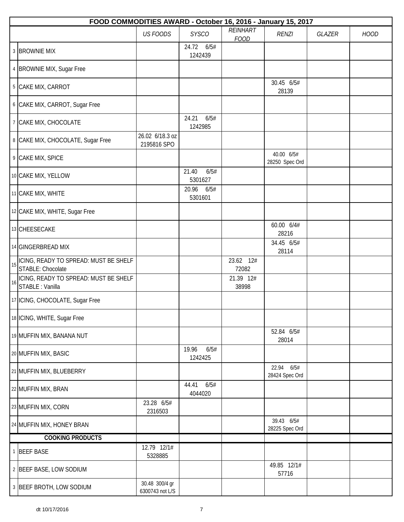|    | FOOD COMMODITIES AWARD - October 16, 2016 - January 15, 2017 |                                   |                          |                         |                              |               |             |  |  |  |
|----|--------------------------------------------------------------|-----------------------------------|--------------------------|-------------------------|------------------------------|---------------|-------------|--|--|--|
|    |                                                              | <b>US FOODS</b>                   | <b>SYSCO</b>             | REINHART<br><b>FOOD</b> | <b>RENZI</b>                 | <b>GLAZER</b> | <b>HOOD</b> |  |  |  |
|    | 3 BROWNIE MIX                                                |                                   | 24.72 6/5#<br>1242439    |                         |                              |               |             |  |  |  |
|    | 4   BROWNIE MIX, Sugar Free                                  |                                   |                          |                         |                              |               |             |  |  |  |
|    | 5 CAKE MIX, CARROT                                           |                                   |                          |                         | 30.45 6/5#<br>28139          |               |             |  |  |  |
|    | 6 CAKE MIX, CARROT, Sugar Free                               |                                   |                          |                         |                              |               |             |  |  |  |
|    | 7 CAKE MIX, CHOCOLATE                                        |                                   | 24.21<br>6/5#<br>1242985 |                         |                              |               |             |  |  |  |
|    | 8 CAKE MIX, CHOCOLATE, Sugar Free                            | 26.02 6/18.3 oz<br>2195816 SPO    |                          |                         |                              |               |             |  |  |  |
|    | 9 CAKE MIX, SPICE                                            |                                   |                          |                         | 40.00 6/5#<br>28250 Spec Ord |               |             |  |  |  |
|    | 10 CAKE MIX, YELLOW                                          |                                   | 6/5#<br>21.40<br>5301627 |                         |                              |               |             |  |  |  |
|    | 11 CAKE MIX, WHITE                                           |                                   | 20.96<br>6/5#<br>5301601 |                         |                              |               |             |  |  |  |
|    | 12 CAKE MIX, WHITE, Sugar Free                               |                                   |                          |                         |                              |               |             |  |  |  |
|    | 13 CHEESECAKE                                                |                                   |                          |                         | 60.00 6/4#<br>28216          |               |             |  |  |  |
|    | 14 GINGERBREAD MIX                                           |                                   |                          |                         | 34.45 6/5#<br>28114          |               |             |  |  |  |
| 15 | ICING, READY TO SPREAD: MUST BE SHELF<br>STABLE: Chocolate   |                                   |                          | 23.62 12#<br>72082      |                              |               |             |  |  |  |
| 16 | ICING, READY TO SPREAD: MUST BE SHELF<br>STABLE : Vanilla    |                                   |                          | 21.39 12#<br>38998      |                              |               |             |  |  |  |
|    | 17 ICING, CHOCOLATE, Sugar Free                              |                                   |                          |                         |                              |               |             |  |  |  |
|    | 18 ICING, WHITE, Sugar Free                                  |                                   |                          |                         |                              |               |             |  |  |  |
|    | 19 MUFFIN MIX, BANANA NUT                                    |                                   |                          |                         | 52.84 6/5#<br>28014          |               |             |  |  |  |
|    | 20 MUFFIN MIX, BASIC                                         |                                   | 6/5#<br>19.96<br>1242425 |                         |                              |               |             |  |  |  |
|    | 21 MUFFIN MIX, BLUEBERRY                                     |                                   |                          |                         | 22.94 6/5#<br>28424 Spec Ord |               |             |  |  |  |
|    | 22 MUFFIN MIX, BRAN                                          |                                   | 44.41<br>6/5#<br>4044020 |                         |                              |               |             |  |  |  |
|    | 23 MUFFIN MIX, CORN                                          | 23.28 6/5#<br>2316503             |                          |                         |                              |               |             |  |  |  |
|    | 24 MUFFIN MIX, HONEY BRAN                                    |                                   |                          |                         | 39.43 6/5#<br>28225 Spec Ord |               |             |  |  |  |
|    | <b>COOKING PRODUCTS</b>                                      |                                   |                          |                         |                              |               |             |  |  |  |
|    | 1 BEEF BASE                                                  | 12.79 12/1#<br>5328885            |                          |                         |                              |               |             |  |  |  |
|    | 2 BEEF BASE, LOW SODIUM                                      |                                   |                          |                         | 49.85 12/1#<br>57716         |               |             |  |  |  |
|    | 3 BEEF BROTH, LOW SODIUM                                     | 30.48 300/4 gr<br>6300743 not L/S |                          |                         |                              |               |             |  |  |  |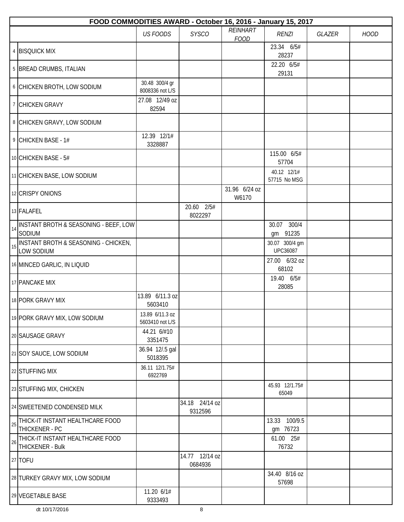|    | FOOD COMMODITIES AWARD - October 16, 2016 - January 15, 2017 |                                    |                           |                         |                                   |        |             |
|----|--------------------------------------------------------------|------------------------------------|---------------------------|-------------------------|-----------------------------------|--------|-------------|
|    |                                                              | <b>US FOODS</b>                    | <b>SYSCO</b>              | REINHART<br><b>FOOD</b> | <b>RENZI</b>                      | GLAZER | <b>HOOD</b> |
|    | 4 BISQUICK MIX                                               |                                    |                           |                         | 23.34 6/5#<br>28237               |        |             |
|    | 5 BREAD CRUMBS, ITALIAN                                      |                                    |                           |                         | 22.20 6/5#<br>29131               |        |             |
|    | 6 CHICKEN BROTH, LOW SODIUM                                  | 30.48 300/4 gr<br>8008336 not L/S  |                           |                         |                                   |        |             |
|    | 7 CHICKEN GRAVY                                              | 27.08 12/49 oz<br>82594            |                           |                         |                                   |        |             |
|    | 8 CHICKEN GRAVY, LOW SODIUM                                  |                                    |                           |                         |                                   |        |             |
|    | 9 CHICKEN BASE - 1#                                          | 12.39 12/1#<br>3328887             |                           |                         |                                   |        |             |
|    | 10 CHICKEN BASE - 5#                                         |                                    |                           |                         | 115.00 6/5#<br>57704              |        |             |
|    | 11 CHICKEN BASE, LOW SODIUM                                  |                                    |                           |                         | 40.12 12/1#<br>57715 No MSG       |        |             |
|    | 12 CRISPY ONIONS                                             |                                    |                           | 31.96 6/24 oz<br>W6170  |                                   |        |             |
|    | 13 FALAFEL                                                   |                                    | 20.60 2/5#<br>8022297     |                         |                                   |        |             |
| 14 | INSTANT BROTH & SEASONING - BEEF, LOW<br>SODIUM              |                                    |                           |                         | 30.07 300/4<br>gm 91235           |        |             |
| 15 | INSTANT BROTH & SEASONING - CHICKEN,<br>LOW SODIUM           |                                    |                           |                         | 30.07 300/4 gm<br><b>UPC36087</b> |        |             |
|    | 16 MINCED GARLIC, IN LIQUID                                  |                                    |                           |                         | 27.00 6/32 oz<br>68102            |        |             |
|    | 17 PANCAKE MIX                                               |                                    |                           |                         | 19.40 6/5#<br>28085               |        |             |
|    | 18 PORK GRAVY MIX                                            | 13.89 6/11.3 oz<br>5603410         |                           |                         |                                   |        |             |
|    | 19 PORK GRAVY MIX, LOW SODIUM                                | 13.89 6/11.3 oz<br>5603410 not L/S |                           |                         |                                   |        |             |
|    | 20 SAUSAGE GRAVY                                             | 44.21 6/#10<br>3351475             |                           |                         |                                   |        |             |
|    | 21 SOY SAUCE, LOW SODIUM                                     | 36.94 12/.5 gal<br>5018395         |                           |                         |                                   |        |             |
|    | 22 STUFFING MIX                                              | 36.11 12/1.75#<br>6922769          |                           |                         |                                   |        |             |
|    | 23 STUFFING MIX, CHICKEN                                     |                                    |                           |                         | 45.93 12/1.75#<br>65049           |        |             |
|    | 24 SWEETENED CONDENSED MILK                                  |                                    | 34.18 24/14 oz<br>9312596 |                         |                                   |        |             |
| 25 | THICK-IT INSTANT HEALTHCARE FOOD<br>THICKENER - PC           |                                    |                           |                         | 13.33 100/9.5<br>gm 76723         |        |             |
| 26 | THICK-IT INSTANT HEALTHCARE FOOD<br>THICKENER - Bulk         |                                    |                           |                         | 61.00 25#<br>76732                |        |             |
|    | 27 TOFU                                                      |                                    | 14.77 12/14 oz<br>0684936 |                         |                                   |        |             |
|    | 28 TURKEY GRAVY MIX, LOW SODIUM                              |                                    |                           |                         | 34.40 8/16 oz<br>57698            |        |             |
|    | 29 VEGETABLE BASE                                            | 11.20 6/1#<br>9333493              |                           |                         |                                   |        |             |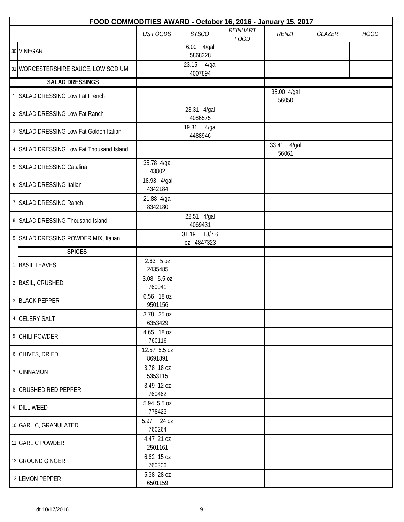| FOOD COMMODITIES AWARD - October 16, 2016 - January 15, 2017 |                         |                            |                         |                         |        |             |  |  |  |  |
|--------------------------------------------------------------|-------------------------|----------------------------|-------------------------|-------------------------|--------|-------------|--|--|--|--|
|                                                              | <b>US FOODS</b>         | <b>SYSCO</b>               | REINHART<br><b>FOOD</b> | <b>RENZI</b>            | GLAZER | <b>HOOD</b> |  |  |  |  |
| 30 VINEGAR                                                   |                         | 6.00  4/gal<br>5868328     |                         |                         |        |             |  |  |  |  |
| 31 WORCESTERSHIRE SAUCE, LOW SODIUM                          |                         | 23.15<br>4/gal<br>4007894  |                         |                         |        |             |  |  |  |  |
| <b>SALAD DRESSINGS</b>                                       |                         |                            |                         |                         |        |             |  |  |  |  |
| 1 SALAD DRESSING Low Fat French                              |                         |                            |                         | 35.00 4/gal<br>56050    |        |             |  |  |  |  |
| 2 SALAD DRESSING Low Fat Ranch                               |                         | 23.31 4/gal<br>4086575     |                         |                         |        |             |  |  |  |  |
| 3 SALAD DRESSING Low Fat Golden Italian                      |                         | 19.31<br>4/gal<br>4488946  |                         |                         |        |             |  |  |  |  |
| 4 SALAD DRESSING Low Fat Thousand Island                     |                         |                            |                         | 33.41<br>4/gal<br>56061 |        |             |  |  |  |  |
| 5 SALAD DRESSING Catalina                                    | 35.78 4/gal<br>43802    |                            |                         |                         |        |             |  |  |  |  |
| 6 SALAD DRESSING Italian                                     | 18.93 4/gal<br>4342184  |                            |                         |                         |        |             |  |  |  |  |
| 7 SALAD DRESSING Ranch                                       | 21.88 4/gal<br>8342180  |                            |                         |                         |        |             |  |  |  |  |
| 8 SALAD DRESSING Thousand Island                             |                         | 22.51 4/gal<br>4069431     |                         |                         |        |             |  |  |  |  |
| 9 SALAD DRESSING POWDER MIX, Italian                         |                         | 31.19 18/7.6<br>oz 4847323 |                         |                         |        |             |  |  |  |  |
| <b>SPICES</b>                                                |                         |                            |                         |                         |        |             |  |  |  |  |
| 1 BASIL LEAVES                                               | $2.63$ 5 oz<br>2435485  |                            |                         |                         |        |             |  |  |  |  |
| 2 BASIL, CRUSHED                                             | 3.08 5.5 oz<br>760041   |                            |                         |                         |        |             |  |  |  |  |
| 3 BLACK PEPPER                                               | 6.56 18 oz<br>9501156   |                            |                         |                         |        |             |  |  |  |  |
| 4 CELERY SALT                                                | 3.78 35 oz<br>6353429   |                            |                         |                         |        |             |  |  |  |  |
| 5 CHILI POWDER                                               | 4.65 18 oz<br>760116    |                            |                         |                         |        |             |  |  |  |  |
| 6 CHIVES, DRIED                                              | 12.57 5.5 oz<br>8691891 |                            |                         |                         |        |             |  |  |  |  |
| 7 CINNAMON                                                   | 3.78 18 oz<br>5353115   |                            |                         |                         |        |             |  |  |  |  |
| 8 CRUSHED RED PEPPER                                         | 3.49 12 oz<br>760462    |                            |                         |                         |        |             |  |  |  |  |
| 9 DILL WEED                                                  | 5.94 5.5 oz<br>778423   |                            |                         |                         |        |             |  |  |  |  |
| 10 GARLIC, GRANULATED                                        | 5.97 24 oz<br>760264    |                            |                         |                         |        |             |  |  |  |  |
| 11 GARLIC POWDER                                             | 4.47 21 oz<br>2501161   |                            |                         |                         |        |             |  |  |  |  |
| 12 GROUND GINGER                                             | 6.62 15 oz<br>760306    |                            |                         |                         |        |             |  |  |  |  |
| 13 LEMON PEPPER                                              | 5.38 28 oz<br>6501159   |                            |                         |                         |        |             |  |  |  |  |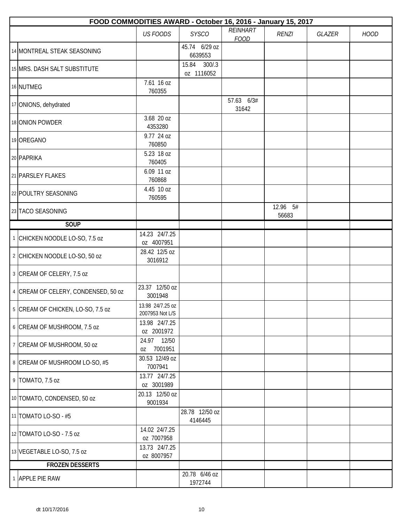| FOOD COMMODITIES AWARD - October 16, 2016 - January 15, 2017 |                                     |                              |                         |                   |        |             |  |  |
|--------------------------------------------------------------|-------------------------------------|------------------------------|-------------------------|-------------------|--------|-------------|--|--|
|                                                              | <b>US FOODS</b>                     | <b>SYSCO</b>                 | REINHART<br><b>FOOD</b> | <b>RENZI</b>      | GLAZER | <b>HOOD</b> |  |  |
| 14 MONTREAL STEAK SEASONING                                  |                                     | 45.74 6/29 oz<br>6639553     |                         |                   |        |             |  |  |
| 15 MRS. DASH SALT SUBSTITUTE                                 |                                     | 15.84<br>300/3<br>oz 1116052 |                         |                   |        |             |  |  |
| 16 NUTMEG                                                    | 7.61 16 oz<br>760355                |                              |                         |                   |        |             |  |  |
| 17 ONIONS, dehydrated                                        |                                     |                              | 57.63 6/3#<br>31642     |                   |        |             |  |  |
| 18 ONION POWDER                                              | 3.68 20 oz<br>4353280               |                              |                         |                   |        |             |  |  |
| 19 OREGANO                                                   | 9.77 24 oz<br>760850                |                              |                         |                   |        |             |  |  |
| 20 PAPRIKA                                                   | 5.23 18 oz<br>760405                |                              |                         |                   |        |             |  |  |
| 21 PARSLEY FLAKES                                            | 6.09 11 oz<br>760868                |                              |                         |                   |        |             |  |  |
| 22 POULTRY SEASONING                                         | 4.45 10 oz<br>760595                |                              |                         |                   |        |             |  |  |
| 23 TACO SEASONING                                            |                                     |                              |                         | 12.96 5#<br>56683 |        |             |  |  |
| <b>SOUP</b>                                                  |                                     |                              |                         |                   |        |             |  |  |
| 1 CHICKEN NOODLE LO-SO, 7.5 oz                               | 14.23 24/7.25<br>oz 4007951         |                              |                         |                   |        |             |  |  |
| 2 CHICKEN NOODLE LO-SO, 50 oz                                | 28.42 12/5 oz<br>3016912            |                              |                         |                   |        |             |  |  |
| 3 CREAM OF CELERY, 7.5 oz                                    |                                     |                              |                         |                   |        |             |  |  |
| 4 CREAM OF CELERY, CONDENSED, 50 oz                          | 23.37 12/50 oz<br>3001948           |                              |                         |                   |        |             |  |  |
| 5 CREAM OF CHICKEN, LO-SO, 7.5 oz                            | 13.98 24/7.25 oz<br>2007953 Not L/S |                              |                         |                   |        |             |  |  |
| 6 CREAM OF MUSHROOM, 7.5 oz                                  | 13.98 24/7.25<br>oz 2001972         |                              |                         |                   |        |             |  |  |
| 7 CREAM OF MUSHROOM, 50 oz                                   | 24.97 12/50<br>7001951<br>0Z        |                              |                         |                   |        |             |  |  |
| 8 CREAM OF MUSHROOM LO-SO, #5                                | 30.53 12/49 oz<br>7007941           |                              |                         |                   |        |             |  |  |
| 9 TOMATO, 7.5 oz                                             | 13.77 24/7.25<br>oz 3001989         |                              |                         |                   |        |             |  |  |
| 10 TOMATO, CONDENSED, 50 oz                                  | 20.13 12/50 oz<br>9001934           |                              |                         |                   |        |             |  |  |
| 11 TOMATO LO-SO - #5                                         |                                     | 28.78 12/50 oz<br>4146445    |                         |                   |        |             |  |  |
| 12 TOMATO LO-SO - 7.5 oz                                     | 14.02 24/7.25<br>oz 7007958         |                              |                         |                   |        |             |  |  |
| 13 VEGETABLE LO-SO, 7.5 oz                                   | 13.73 24/7.25<br>oz 8007957         |                              |                         |                   |        |             |  |  |
| <b>FROZEN DESSERTS</b>                                       |                                     |                              |                         |                   |        |             |  |  |
| 1 APPLE PIE RAW                                              |                                     | 20.78 6/46 oz<br>1972744     |                         |                   |        |             |  |  |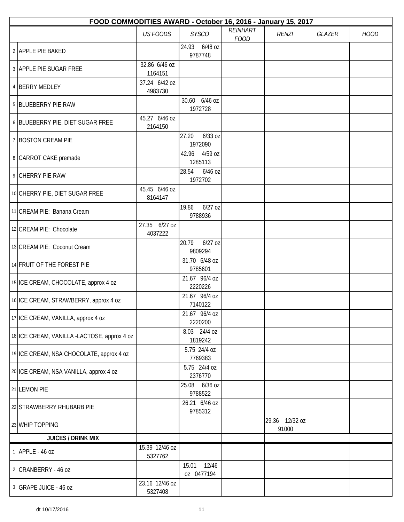| FOOD COMMODITIES AWARD - October 16, 2016 - January 15, 2017 |                           |                               |                                |                         |        |             |  |  |  |
|--------------------------------------------------------------|---------------------------|-------------------------------|--------------------------------|-------------------------|--------|-------------|--|--|--|
|                                                              | <b>US FOODS</b>           | <b>SYSCO</b>                  | <b>REINHART</b><br><b>FOOD</b> | <b>RENZI</b>            | GLAZER | <b>HOOD</b> |  |  |  |
| 2 APPLE PIE BAKED                                            |                           | 24.93 6/48 oz<br>9787748      |                                |                         |        |             |  |  |  |
| 3 APPLE PIE SUGAR FREE                                       | 32.86 6/46 oz<br>1164151  |                               |                                |                         |        |             |  |  |  |
| 4 BERRY MEDLEY                                               | 37.24 6/42 oz<br>4983730  |                               |                                |                         |        |             |  |  |  |
| 5 BLUEBERRY PIE RAW                                          |                           | 30.60 6/46 oz<br>1972728      |                                |                         |        |             |  |  |  |
| 6 BLUEBERRY PIE, DIET SUGAR FREE                             | 45.27 6/46 oz<br>2164150  |                               |                                |                         |        |             |  |  |  |
| 7 BOSTON CREAM PIE                                           |                           | 27.20<br>$6/33$ oz<br>1972090 |                                |                         |        |             |  |  |  |
| 8 CARROT CAKE premade                                        |                           | 4/59 oz<br>42.96<br>1285113   |                                |                         |        |             |  |  |  |
| 9 CHERRY PIE RAW                                             |                           | 6/46 oz<br>28.54<br>1972702   |                                |                         |        |             |  |  |  |
| 10 CHERRY PIE, DIET SUGAR FREE                               | 45.45 6/46 oz<br>8164147  |                               |                                |                         |        |             |  |  |  |
| 11 CREAM PIE: Banana Cream                                   |                           | $6/27$ oz<br>19.86<br>9788936 |                                |                         |        |             |  |  |  |
| 12 CREAM PIE: Chocolate                                      | 27.35 6/27 oz<br>4037222  |                               |                                |                         |        |             |  |  |  |
| 13 CREAM PIE: Coconut Cream                                  |                           | 20.79<br>$6/27$ oz<br>9809294 |                                |                         |        |             |  |  |  |
| 14 FRUIT OF THE FOREST PIE                                   |                           | 31.70 6/48 oz<br>9785601      |                                |                         |        |             |  |  |  |
| 15 ICE CREAM, CHOCOLATE, approx 4 oz                         |                           | 21.67 96/4 oz<br>2220226      |                                |                         |        |             |  |  |  |
| 16 ICE CREAM, STRAWBERRY, approx 4 oz                        |                           | 21.67 96/4 oz<br>7140122      |                                |                         |        |             |  |  |  |
| 17 ICE CREAM, VANILLA, approx 4 oz                           |                           | 21.67 96/4 oz<br>2220200      |                                |                         |        |             |  |  |  |
| 18 ICE CREAM, VANILLA -LACTOSE, approx 4 oz                  |                           | 8.03 24/4 oz<br>1819242       |                                |                         |        |             |  |  |  |
| 19 ICE CREAM, NSA CHOCOLATE, approx 4 oz                     |                           | 5.75 24/4 oz<br>7769383       |                                |                         |        |             |  |  |  |
| 20 ICE CREAM, NSA VANILLA, approx 4 oz                       |                           | 5.75 24/4 oz<br>2376770       |                                |                         |        |             |  |  |  |
| 21 LEMON PIE                                                 |                           | 25.08 6/36 oz<br>9788522      |                                |                         |        |             |  |  |  |
| 22 STRAWBERRY RHUBARB PIE                                    |                           | 26.21 6/46 oz<br>9785312      |                                |                         |        |             |  |  |  |
| 23 WHIP TOPPING                                              |                           |                               |                                | 29.36 12/32 oz<br>91000 |        |             |  |  |  |
| <b>JUICES / DRINK MIX</b>                                    |                           |                               |                                |                         |        |             |  |  |  |
| 1 APPLE - 46 oz                                              | 15.39 12/46 oz<br>5327762 |                               |                                |                         |        |             |  |  |  |
| 2 CRANBERRY - 46 oz                                          |                           | 12/46<br>15.01<br>oz 0477194  |                                |                         |        |             |  |  |  |
| 3 GRAPE JUICE - 46 oz                                        | 23.16 12/46 oz<br>5327408 |                               |                                |                         |        |             |  |  |  |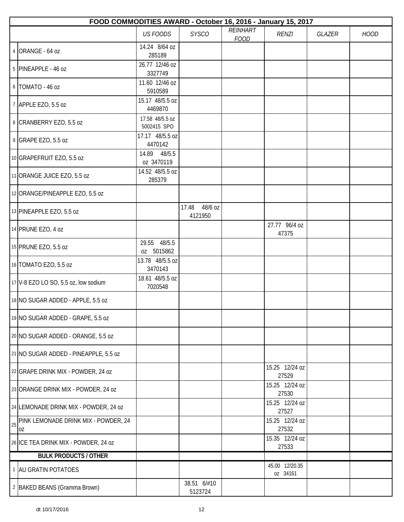|    | FOOD COMMODITIES AWARD - October 16, 2016 - January 15, 2017 |                                |                          |                         |                            |        |             |  |  |  |
|----|--------------------------------------------------------------|--------------------------------|--------------------------|-------------------------|----------------------------|--------|-------------|--|--|--|
|    |                                                              | <b>US FOODS</b>                | <b>SYSCO</b>             | REINHART<br><b>FOOD</b> | <b>RENZI</b>               | GLAZER | <b>HOOD</b> |  |  |  |
|    | 4 ORANGE - 64 oz                                             | 14.24 8/64 oz<br>285189        |                          |                         |                            |        |             |  |  |  |
|    | 5 PINEAPPLE - 46 oz                                          | 26.77 12/46 oz<br>3327749      |                          |                         |                            |        |             |  |  |  |
|    | 6 TOMATO - 46 oz                                             | 11.60 12/46 oz<br>5910589      |                          |                         |                            |        |             |  |  |  |
|    | 7 APPLE EZO, 5.5 oz                                          | 15.17 48/5.5 oz<br>4469870     |                          |                         |                            |        |             |  |  |  |
|    | 8 CRANBERRY EZO, 5.5 oz                                      | 17.58 48/5.5 oz<br>5002415 SPO |                          |                         |                            |        |             |  |  |  |
|    | 9 GRAPE EZO, 5.5 oz                                          | 17.17 48/5.5 oz<br>4470142     |                          |                         |                            |        |             |  |  |  |
|    | 10 GRAPEFRUIT EZO, 5.5 oz                                    | 14.89 48/5.5<br>oz 3470119     |                          |                         |                            |        |             |  |  |  |
|    | 11 ORANGE JUICE EZO, 5.5 oz                                  | 14.52 48/5.5 oz<br>285379      |                          |                         |                            |        |             |  |  |  |
|    | 12 ORANGE/PINEAPPLE EZO, 5.5 oz                              |                                |                          |                         |                            |        |             |  |  |  |
|    | 13 PINEAPPLE EZO, 5.5 oz                                     |                                | 17.48 48/6 oz<br>4121950 |                         |                            |        |             |  |  |  |
|    | 14 PRUNE EZO, 4 oz                                           |                                |                          |                         | 27.77 96/4 oz<br>47375     |        |             |  |  |  |
|    | 15 PRUNE EZO, 5.5 oz                                         | 29.55 48/5.5<br>oz 5015862     |                          |                         |                            |        |             |  |  |  |
|    | 16 TOMATO EZO, 5.5 oz                                        | 13.78 48/5.5 oz<br>3470143     |                          |                         |                            |        |             |  |  |  |
|    | 17 V-8 EZO LO SO, 5.5 oz, low sodium                         | 18.61 48/5.5 oz<br>7020548     |                          |                         |                            |        |             |  |  |  |
|    | 18 NO SUGAR ADDED - APPLE, 5.5 oz                            |                                |                          |                         |                            |        |             |  |  |  |
|    | 19 NO SUGAR ADDED - GRAPE, 5.5 oz                            |                                |                          |                         |                            |        |             |  |  |  |
|    | 20 NO SUGAR ADDED - ORANGE, 5.5 oz                           |                                |                          |                         |                            |        |             |  |  |  |
|    | 21 NO SUGAR ADDED - PINEAPPLE, 5.5 oz                        |                                |                          |                         |                            |        |             |  |  |  |
|    | 22 GRAPE DRINK MIX - POWDER, 24 oz                           |                                |                          |                         | 15.25 12/24 oz<br>27529    |        |             |  |  |  |
|    | 23 ORANGE DRINK MIX - POWDER, 24 oz                          |                                |                          |                         | 15.25 12/24 oz<br>27530    |        |             |  |  |  |
|    | 24 LEMONADE DRINK MIX - POWDER, 24 oz                        |                                |                          |                         | 15.25 12/24 oz<br>27527    |        |             |  |  |  |
| 25 | PINK LEMONADE DRINK MIX - POWDER, 24<br>0Z                   |                                |                          |                         | 15.25 12/24 oz<br>27532    |        |             |  |  |  |
|    | 26 ICE TEA DRINK MIX - POWDER, 24 oz                         |                                |                          |                         | 15.35 12/24 oz<br>27533    |        |             |  |  |  |
|    | <b>BULK PRODUCTS / OTHER</b>                                 |                                |                          |                         |                            |        |             |  |  |  |
|    | 1 AU GRATIN POTATOES                                         |                                |                          |                         | 45.00 12/20.35<br>oz 34161 |        |             |  |  |  |
|    | 2 BAKED BEANS (Gramma Brown)                                 |                                | 38.51 6/#10<br>5123724   |                         |                            |        |             |  |  |  |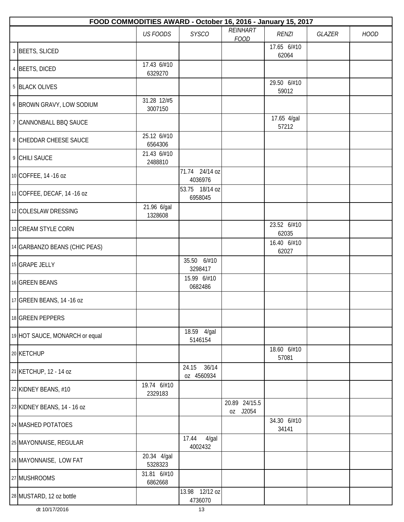| FOOD COMMODITIES AWARD - October 16, 2016 - January 15, 2017 |                        |                              |                           |                      |               |             |  |  |  |
|--------------------------------------------------------------|------------------------|------------------------------|---------------------------|----------------------|---------------|-------------|--|--|--|
|                                                              | <b>US FOODS</b>        | <b>SYSCO</b>                 | REINHART<br><b>FOOD</b>   | <b>RENZI</b>         | <b>GLAZER</b> | <b>HOOD</b> |  |  |  |
| 3 BEETS, SLICED                                              |                        |                              |                           | 17.65 6/#10<br>62064 |               |             |  |  |  |
| 4 BEETS, DICED                                               | 17.43 6/#10<br>6329270 |                              |                           |                      |               |             |  |  |  |
| 5 BLACK OLIVES                                               |                        |                              |                           | 29.50 6/#10<br>59012 |               |             |  |  |  |
| 6 BROWN GRAVY, LOW SODIUM                                    | 31.28 12/#5<br>3007150 |                              |                           |                      |               |             |  |  |  |
| 7 CANNONBALL BBQ SAUCE                                       |                        |                              |                           | 17.65 4/gal<br>57212 |               |             |  |  |  |
| 8 CHEDDAR CHEESE SAUCE                                       | 25.12 6/#10<br>6564306 |                              |                           |                      |               |             |  |  |  |
| 9 CHILI SAUCE                                                | 21.43 6/#10<br>2488810 |                              |                           |                      |               |             |  |  |  |
| 10 COFFEE, 14 -16 oz                                         |                        | 71.74 24/14 oz<br>4036976    |                           |                      |               |             |  |  |  |
| 11 COFFEE, DECAF, 14 -16 oz                                  |                        | 53.75 18/14 oz<br>6958045    |                           |                      |               |             |  |  |  |
| 12 COLESLAW DRESSING                                         | 21.96 6/gal<br>1328608 |                              |                           |                      |               |             |  |  |  |
| 13 CREAM STYLE CORN                                          |                        |                              |                           | 23.52 6/#10<br>62035 |               |             |  |  |  |
| 14 GARBANZO BEANS (CHIC PEAS)                                |                        |                              |                           | 16.40 6/#10<br>62027 |               |             |  |  |  |
| 15 GRAPE JELLY                                               |                        | 35.50 6/#10<br>3298417       |                           |                      |               |             |  |  |  |
| 16 GREEN BEANS                                               |                        | 15.99 6/#10<br>0682486       |                           |                      |               |             |  |  |  |
| 17 GREEN BEANS, 14 -16 oz                                    |                        |                              |                           |                      |               |             |  |  |  |
| 18 GREEN PEPPERS                                             |                        |                              |                           |                      |               |             |  |  |  |
| 19 HOT SAUCE, MONARCH or equal                               |                        | 18.59 4/gal<br>5146154       |                           |                      |               |             |  |  |  |
| 20 KETCHUP                                                   |                        |                              |                           | 18.60 6/#10<br>57081 |               |             |  |  |  |
| 21 KETCHUP, 12 - 14 oz                                       |                        | 36/14<br>24.15<br>oz 4560934 |                           |                      |               |             |  |  |  |
| 22 KIDNEY BEANS, #10                                         | 19.74 6/#10<br>2329183 |                              |                           |                      |               |             |  |  |  |
| 23 KIDNEY BEANS, 14 - 16 oz                                  |                        |                              | 20.89 24/15.5<br>oz J2054 |                      |               |             |  |  |  |
| 24 MASHED POTATOES                                           |                        |                              |                           | 34.30 6/#10<br>34141 |               |             |  |  |  |
| 25 MAYONNAISE, REGULAR                                       |                        | 17.44<br>$4$ /gal<br>4002432 |                           |                      |               |             |  |  |  |
| 26 MAYONNAISE, LOW FAT                                       | 20.34 4/gal<br>5328323 |                              |                           |                      |               |             |  |  |  |
| 27 MUSHROOMS                                                 | 31.81 6/#10<br>6862668 |                              |                           |                      |               |             |  |  |  |
| 28 MUSTARD, 12 oz bottle                                     |                        | 13.98 12/12 oz<br>4736070    |                           |                      |               |             |  |  |  |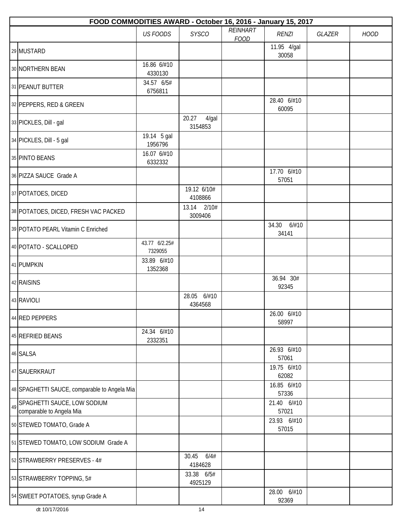|    | FOOD COMMODITIES AWARD - October 16, 2016 - January 15, 2017 |                          |                           |                         |                         |        |             |  |  |  |
|----|--------------------------------------------------------------|--------------------------|---------------------------|-------------------------|-------------------------|--------|-------------|--|--|--|
|    |                                                              | <b>US FOODS</b>          | <b>SYSCO</b>              | REINHART<br><b>FOOD</b> | <b>RENZI</b>            | GLAZER | <b>HOOD</b> |  |  |  |
|    | 29 MUSTARD                                                   |                          |                           |                         | 11.95 4/gal<br>30058    |        |             |  |  |  |
|    | 30 NORTHERN BEAN                                             | 16.86 6/#10<br>4330130   |                           |                         |                         |        |             |  |  |  |
|    | 31 PEANUT BUTTER                                             | 34.57 6/5#<br>6756811    |                           |                         |                         |        |             |  |  |  |
|    | 32 PEPPERS, RED & GREEN                                      |                          |                           |                         | 28.40 6/#10<br>60095    |        |             |  |  |  |
|    | 33 PICKLES, Dill - gal                                       |                          | 20.27<br>4/gal<br>3154853 |                         |                         |        |             |  |  |  |
|    | 34 PICKLES, Dill - 5 gal                                     | 19.14 5 gal<br>1956796   |                           |                         |                         |        |             |  |  |  |
|    | 35 PINTO BEANS                                               | 16.07 6/#10<br>6332332   |                           |                         |                         |        |             |  |  |  |
|    | 36 PIZZA SAUCE Grade A                                       |                          |                           |                         | 17.70 6/#10<br>57051    |        |             |  |  |  |
|    | 37 POTATOES, DICED                                           |                          | 19.12 6/10#<br>4108866    |                         |                         |        |             |  |  |  |
|    | 38 POTATOES, DICED, FRESH VAC PACKED                         |                          | 13.14<br>2/10#<br>3009406 |                         |                         |        |             |  |  |  |
|    | 39 POTATO PEARL Vitamin C Enriched                           |                          |                           |                         | 34.30<br>6/#10<br>34141 |        |             |  |  |  |
|    | 40 POTATO - SCALLOPED                                        | 43.77 6/2.25#<br>7329055 |                           |                         |                         |        |             |  |  |  |
|    | 41 PUMPKIN                                                   | 33.89 6/#10<br>1352368   |                           |                         |                         |        |             |  |  |  |
|    | 42 RAISINS                                                   |                          |                           |                         | 36.94 30#<br>92345      |        |             |  |  |  |
|    | 43 RAVIOLI                                                   |                          | 28.05 6/#10<br>4364568    |                         |                         |        |             |  |  |  |
|    | 44 RED PEPPERS                                               |                          |                           |                         | 26.00 6/#10<br>58997    |        |             |  |  |  |
|    | 45 REFRIED BEANS                                             | 24.34 6/#10<br>2332351   |                           |                         |                         |        |             |  |  |  |
|    | 46 SALSA                                                     |                          |                           |                         | 26.93 6/#10<br>57061    |        |             |  |  |  |
|    | 47 SAUERKRAUT                                                |                          |                           |                         | 19.75 6/#10<br>62082    |        |             |  |  |  |
|    | 48 SPAGHETTI SAUCE, comparable to Angela Mia                 |                          |                           |                         | 16.85 6/#10<br>57336    |        |             |  |  |  |
| 49 | SPAGHETTI SAUCE, LOW SODIUM<br>comparable to Angela Mia      |                          |                           |                         | 21.40 6/#10<br>57021    |        |             |  |  |  |
|    | 50 STEWED TOMATO, Grade A                                    |                          |                           |                         | 23.93 6/#10<br>57015    |        |             |  |  |  |
|    | 51 STEWED TOMATO, LOW SODIUM Grade A                         |                          |                           |                         |                         |        |             |  |  |  |
|    | 52 STRAWBERRY PRESERVES - 4#                                 |                          | 30.45<br>6/4#<br>4184628  |                         |                         |        |             |  |  |  |
|    | 53 STRAWBERRY TOPPING, 5#                                    |                          | 33.38 6/5#<br>4925129     |                         |                         |        |             |  |  |  |
|    | 54 SWEET POTATOES, syrup Grade A                             |                          |                           |                         | 28.00 6/#10<br>92369    |        |             |  |  |  |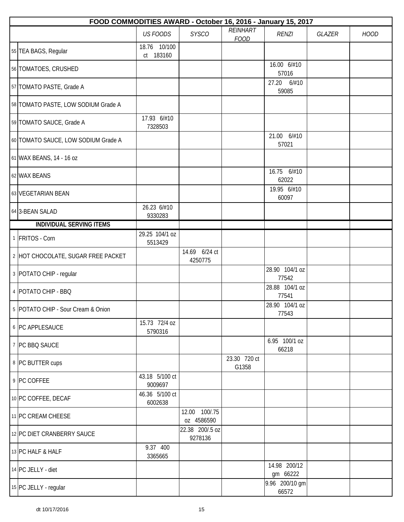| FOOD COMMODITIES AWARD - October 16, 2016 - January 15, 2017 |                           |                             |                         |                          |        |             |  |  |  |
|--------------------------------------------------------------|---------------------------|-----------------------------|-------------------------|--------------------------|--------|-------------|--|--|--|
|                                                              | <b>US FOODS</b>           | <b>SYSCO</b>                | REINHART<br><b>FOOD</b> | <b>RENZI</b>             | GLAZER | <b>HOOD</b> |  |  |  |
| 55 TEA BAGS, Regular                                         | 18.76 10/100<br>ct 183160 |                             |                         |                          |        |             |  |  |  |
| 56 TOMATOES, CRUSHED                                         |                           |                             |                         | 16.00 6/#10<br>57016     |        |             |  |  |  |
| 57 TOMATO PASTE, Grade A                                     |                           |                             |                         | 27.20<br>6/#10<br>59085  |        |             |  |  |  |
| 58 TOMATO PASTE, LOW SODIUM Grade A                          |                           |                             |                         |                          |        |             |  |  |  |
| 59 TOMATO SAUCE, Grade A                                     | 17.93 6/#10<br>7328503    |                             |                         |                          |        |             |  |  |  |
| 60 TOMATO SAUCE, LOW SODIUM Grade A                          |                           |                             |                         | 21.00 6/#10<br>57021     |        |             |  |  |  |
| 61 WAX BEANS, 14 - 16 oz                                     |                           |                             |                         |                          |        |             |  |  |  |
| 62 WAX BEANS                                                 |                           |                             |                         | 16.75 6/#10<br>62022     |        |             |  |  |  |
| 63 VEGETARIAN BEAN                                           |                           |                             |                         | 19.95 6/#10<br>60097     |        |             |  |  |  |
| 64 3-BEAN SALAD                                              | 26.23 6/#10<br>9330283    |                             |                         |                          |        |             |  |  |  |
| <b>INDIVIDUAL SERVING ITEMS</b>                              |                           |                             |                         |                          |        |             |  |  |  |
| 1 FRITOS - Corn                                              | 29.25 104/1 oz<br>5513429 |                             |                         |                          |        |             |  |  |  |
| 2 HOT CHOCOLATE, SUGAR FREE PACKET                           |                           | 14.69 6/24 ct<br>4250775    |                         |                          |        |             |  |  |  |
| 3 POTATO CHIP - regular                                      |                           |                             |                         | 28.90 104/1 oz<br>77542  |        |             |  |  |  |
| 4 POTATO CHIP - BBQ                                          |                           |                             |                         | 28.88 104/1 oz<br>77541  |        |             |  |  |  |
| 5 POTATO CHIP - Sour Cream & Onion                           |                           |                             |                         | 28.90 104/1 oz<br>77543  |        |             |  |  |  |
| 6 PC APPLESAUCE                                              | 15.73 72/4 oz<br>5790316  |                             |                         |                          |        |             |  |  |  |
| 7 PC BBQ SAUCE                                               |                           |                             |                         | 6.95 100/1 oz<br>66218   |        |             |  |  |  |
| 8 PC BUTTER cups                                             |                           |                             | 23.30 720 ct<br>G1358   |                          |        |             |  |  |  |
| 9 PC COFFEE                                                  | 43.18 5/100 ct<br>9009697 |                             |                         |                          |        |             |  |  |  |
| 10 PC COFFEE, DECAF                                          | 46.36 5/100 ct<br>6002638 |                             |                         |                          |        |             |  |  |  |
| 11 PC CREAM CHEESE                                           |                           | 12.00 100/.75<br>oz 4586590 |                         |                          |        |             |  |  |  |
| 12 PC DIET CRANBERRY SAUCE                                   |                           | 22.38 200/.5 oz<br>9278136  |                         |                          |        |             |  |  |  |
| 13 PC HALF & HALF                                            | 9.37 400<br>3365665       |                             |                         |                          |        |             |  |  |  |
| 14 PC JELLY - diet                                           |                           |                             |                         | 14.98 200/12<br>gm 66222 |        |             |  |  |  |
| 15 PC JELLY - regular                                        |                           |                             |                         | 9.96 200/10 gm<br>66572  |        |             |  |  |  |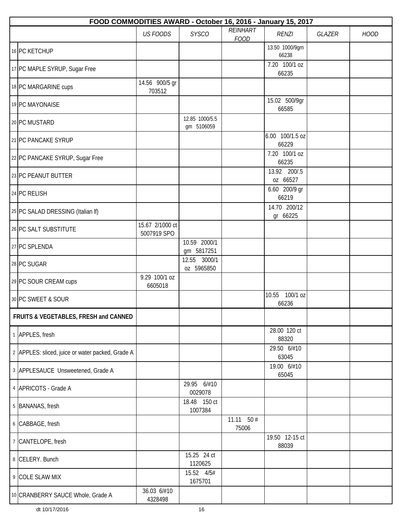| FOOD COMMODITIES AWARD - October 16, 2016 - January 15, 2017 |                                |                              |                         |                          |               |             |  |  |  |
|--------------------------------------------------------------|--------------------------------|------------------------------|-------------------------|--------------------------|---------------|-------------|--|--|--|
|                                                              | <b>US FOODS</b>                | <b>SYSCO</b>                 | REINHART<br><b>FOOD</b> | <b>RENZI</b>             | <b>GLAZER</b> | <b>HOOD</b> |  |  |  |
| 16 PC KETCHUP                                                |                                |                              |                         | 13.50 1000/9gm<br>66238  |               |             |  |  |  |
| 17 PC MAPLE SYRUP, Sugar Free                                |                                |                              |                         | 7.20 100/1 oz<br>66235   |               |             |  |  |  |
| 18 PC MARGARINE cups                                         | 14.56 900/5 gr<br>703512       |                              |                         |                          |               |             |  |  |  |
| 19 PC MAYONAISE                                              |                                |                              |                         | 15.02 500/9gr<br>66585   |               |             |  |  |  |
| 20 PC MUSTARD                                                |                                | 12.85 1000/5.5<br>gm 5106059 |                         |                          |               |             |  |  |  |
| 21 PC PANCAKE SYRUP                                          |                                |                              |                         | 6.00 100/1.5 oz<br>66229 |               |             |  |  |  |
| 22 PC PANCAKE SYRUP, Sugar Free                              |                                |                              |                         | 7.20 100/1 oz<br>66235   |               |             |  |  |  |
| 23 PC PEANUT BUTTER                                          |                                |                              |                         | 13.92 200/.5<br>0Z 66527 |               |             |  |  |  |
| 24 PC RELISH                                                 |                                |                              |                         | 6.60 200/9 gr<br>66219   |               |             |  |  |  |
| 25 PC SALAD DRESSING (Italian If)                            |                                |                              |                         | 14.70 200/12<br>gr 66225 |               |             |  |  |  |
| 26 PC SALT SUBSTITUTE                                        | 15.67 2/1000 ct<br>5007919 SPO |                              |                         |                          |               |             |  |  |  |
| 27 PC SPLENDA                                                |                                | 10.59 2000/1<br>gm 5817251   |                         |                          |               |             |  |  |  |
| 28 PC SUGAR                                                  |                                | 12.55 3000/1<br>oz 5965850   |                         |                          |               |             |  |  |  |
| 29 PC SOUR CREAM cups                                        | 9.29 100/1 oz<br>6605018       |                              |                         |                          |               |             |  |  |  |
| 30 PC SWEET & SOUR                                           |                                |                              |                         | 10.55 100/1 oz<br>66236  |               |             |  |  |  |
| FRUITS & VEGETABLES, FRESH and CANNED                        |                                |                              |                         |                          |               |             |  |  |  |
| 1 APPLES, fresh                                              |                                |                              |                         | 28.00 120 ct<br>88320    |               |             |  |  |  |
| 2 APPLES: sliced, juice or water packed, Grade A             |                                |                              |                         | 29.50 6/#10<br>63045     |               |             |  |  |  |
| 3 APPLESAUCE Unsweetened, Grade A                            |                                |                              |                         | 19.00 6/#10<br>65045     |               |             |  |  |  |
| 4 APRICOTS - Grade A                                         |                                | 29.95 6/#10<br>0029078       |                         |                          |               |             |  |  |  |
| 5 BANANAS, fresh                                             |                                | 18.48 150 ct<br>1007384      |                         |                          |               |             |  |  |  |
| 6 CABBAGE, fresh                                             |                                |                              | 11.11 $50#$<br>75006    |                          |               |             |  |  |  |
| 7 CANTELOPE, fresh                                           |                                |                              |                         | 19.50 12-15 ct<br>88039  |               |             |  |  |  |
| 8 CELERY. Bunch                                              |                                | 15.25 24 ct<br>1120625       |                         |                          |               |             |  |  |  |
| 9 COLE SLAW MIX                                              |                                | 15.52 4/5#<br>1675701        |                         |                          |               |             |  |  |  |
| 10 CRANBERRY SAUCE Whole, Grade A                            | 36.03 6/#10<br>4328498         |                              |                         |                          |               |             |  |  |  |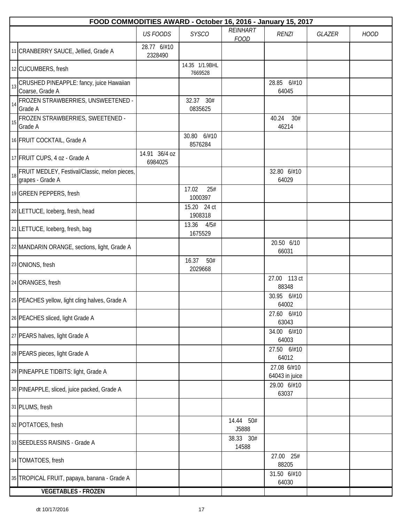| FOOD COMMODITIES AWARD - October 16, 2016 - January 15, 2017            |                          |                           |                         |                               |        |             |  |  |  |
|-------------------------------------------------------------------------|--------------------------|---------------------------|-------------------------|-------------------------------|--------|-------------|--|--|--|
|                                                                         | <b>US FOODS</b>          | <b>SYSCO</b>              | REINHART<br><b>FOOD</b> | <b>RENZI</b>                  | GLAZER | <b>HOOD</b> |  |  |  |
| 11 CRANBERRY SAUCE, Jellied, Grade A                                    | 28.77 6/#10<br>2328490   |                           |                         |                               |        |             |  |  |  |
| 12 CUCUMBERS, fresh                                                     |                          | 14.35 1/1.9BHL<br>7669528 |                         |                               |        |             |  |  |  |
| CRUSHED PINEAPPLE: fancy, juice Hawaiian<br>13<br>Coarse, Grade A       |                          |                           |                         | 28.85 6/#10<br>64045          |        |             |  |  |  |
| FROZEN STRAWBERRIES, UNSWEETENED -<br>14<br>Grade A                     |                          | 32.37 30#<br>0835625      |                         |                               |        |             |  |  |  |
| FROZEN STRAWBERRIES, SWEETENED -<br>15<br>Grade A                       |                          |                           |                         | 40.24<br>30#<br>46214         |        |             |  |  |  |
| 16 FRUIT COCKTAIL, Grade A                                              |                          | 30.80<br>6/#10<br>8576284 |                         |                               |        |             |  |  |  |
| 17 FRUIT CUPS, 4 oz - Grade A                                           | 14.91 36/4 oz<br>6984025 |                           |                         |                               |        |             |  |  |  |
| FRUIT MEDLEY, Festival/Classic, melon pieces,<br>18<br>grapes - Grade A |                          |                           |                         | 32.80 6/#10<br>64029          |        |             |  |  |  |
| 19 GREEN PEPPERS, fresh                                                 |                          | 17.02<br>25#<br>1000397   |                         |                               |        |             |  |  |  |
| 20 LETTUCE, Iceberg, fresh, head                                        |                          | 15.20 24 ct<br>1908318    |                         |                               |        |             |  |  |  |
| 21 LETTUCE, Iceberg, fresh, bag                                         |                          | 13.36<br>4/5#<br>1675529  |                         |                               |        |             |  |  |  |
| 22 MANDARIN ORANGE, sections, light, Grade A                            |                          |                           |                         | 20.50 6/10<br>66031           |        |             |  |  |  |
| 23 ONIONS, fresh                                                        |                          | 16.37<br>50#<br>2029668   |                         |                               |        |             |  |  |  |
| 24 ORANGES, fresh                                                       |                          |                           |                         | 27.00 113 ct<br>88348         |        |             |  |  |  |
| 25 PEACHES yellow, light cling halves, Grade A                          |                          |                           |                         | 30.95 6/#10<br>64002          |        |             |  |  |  |
| 26 PEACHES sliced, light Grade A                                        |                          |                           |                         | 27.60 6/#10<br>63043          |        |             |  |  |  |
| 27 PEARS halves, light Grade A                                          |                          |                           |                         | 34.00 6/#10<br>64003          |        |             |  |  |  |
| 28 PEARS pieces, light Grade A                                          |                          |                           |                         | 27.50 6/#10<br>64012          |        |             |  |  |  |
| 29 PINEAPPLE TIDBITS: light, Grade A                                    |                          |                           |                         | 27.08 6/#10<br>64043 in juice |        |             |  |  |  |
| 30 PINEAPPLE, sliced, juice packed, Grade A                             |                          |                           |                         | 29.00 6/#10<br>63037          |        |             |  |  |  |
| 31 PLUMS, fresh                                                         |                          |                           |                         |                               |        |             |  |  |  |
| 32 POTATOES, fresh                                                      |                          |                           | 14.44 50#<br>J5888      |                               |        |             |  |  |  |
| 33 SEEDLESS RAISINS - Grade A                                           |                          |                           | 38.33 30#<br>14588      |                               |        |             |  |  |  |
| 34 TOMATOES, fresh                                                      |                          |                           |                         | 27.00 25#<br>88205            |        |             |  |  |  |
| 35 TROPICAL FRUIT, papaya, banana - Grade A                             |                          |                           |                         | 31.50 6/#10<br>64030          |        |             |  |  |  |
| <b>VEGETABLES - FROZEN</b>                                              |                          |                           |                         |                               |        |             |  |  |  |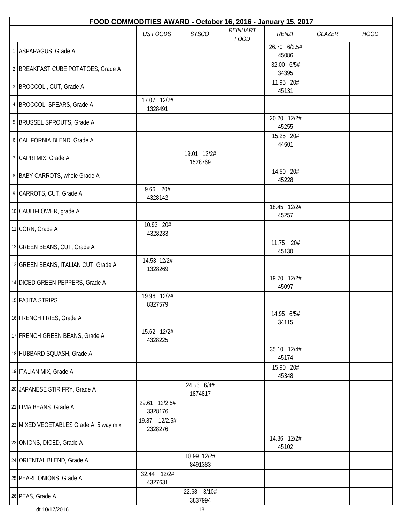| FOOD COMMODITIES AWARD - October 16, 2016 - January 15, 2017 |                          |                        |                         |                       |        |             |  |  |  |
|--------------------------------------------------------------|--------------------------|------------------------|-------------------------|-----------------------|--------|-------------|--|--|--|
|                                                              | <b>US FOODS</b>          | <b>SYSCO</b>           | REINHART<br><b>FOOD</b> | <b>RENZI</b>          | GLAZER | <b>HOOD</b> |  |  |  |
| 1 ASPARAGUS, Grade A                                         |                          |                        |                         | 26.70 6/2.5#<br>45086 |        |             |  |  |  |
| 2 BREAKFAST CUBE POTATOES, Grade A                           |                          |                        |                         | 32.00 6/5#<br>34395   |        |             |  |  |  |
| 3 BROCCOLI, CUT, Grade A                                     |                          |                        |                         | 11.95 20#<br>45131    |        |             |  |  |  |
| 4 BROCCOLI SPEARS, Grade A                                   | 17.07 12/2#<br>1328491   |                        |                         |                       |        |             |  |  |  |
| 5 BRUSSEL SPROUTS, Grade A                                   |                          |                        |                         | 20.20 12/2#<br>45255  |        |             |  |  |  |
| 6 CALIFORNIA BLEND, Grade A                                  |                          |                        |                         | 15.25 20#<br>44601    |        |             |  |  |  |
| 7 CAPRI MIX, Grade A                                         |                          | 19.01 12/2#<br>1528769 |                         |                       |        |             |  |  |  |
| 8 BABY CARROTS, whole Grade A                                |                          |                        |                         | 14.50 20#<br>45228    |        |             |  |  |  |
| 9 CARROTS, CUT, Grade A                                      | 9.66 20#<br>4328142      |                        |                         |                       |        |             |  |  |  |
| 10 CAULIFLOWER, grade A                                      |                          |                        |                         | 18.45 12/2#<br>45257  |        |             |  |  |  |
| 11 CORN, Grade A                                             | 10.93 20#<br>4328233     |                        |                         |                       |        |             |  |  |  |
| 12 GREEN BEANS, CUT, Grade A                                 |                          |                        |                         | 11.75 20#<br>45130    |        |             |  |  |  |
| 13 GREEN BEANS, ITALIAN CUT, Grade A                         | 14.53 12/2#<br>1328269   |                        |                         |                       |        |             |  |  |  |
| 14 DICED GREEN PEPPERS, Grade A                              |                          |                        |                         | 19.70 12/2#<br>45097  |        |             |  |  |  |
| 15 FAJITA STRIPS                                             | 19.96 12/2#<br>8327579   |                        |                         |                       |        |             |  |  |  |
| 16 FRENCH FRIES, Grade A                                     |                          |                        |                         | 14.95 6/5#<br>34115   |        |             |  |  |  |
| 17 FRENCH GREEN BEANS, Grade A                               | 15.62 12/2#<br>4328225   |                        |                         |                       |        |             |  |  |  |
| 18 HUBBARD SQUASH, Grade A                                   |                          |                        |                         | 35.10 12/4#<br>45174  |        |             |  |  |  |
| 19 ITALIAN MIX, Grade A                                      |                          |                        |                         | 15.90 20#<br>45348    |        |             |  |  |  |
| 20 JAPANESE STIR FRY, Grade A                                |                          | 24.56 6/4#<br>1874817  |                         |                       |        |             |  |  |  |
| 21 LIMA BEANS, Grade A                                       | 29.61 12/2.5#<br>3328176 |                        |                         |                       |        |             |  |  |  |
| 22 MIXED VEGETABLES Grade A, 5 way mix                       | 19.87 12/2.5#<br>2328276 |                        |                         |                       |        |             |  |  |  |
| 23 ONIONS, DICED, Grade A                                    |                          |                        |                         | 14.86 12/2#<br>45102  |        |             |  |  |  |
| 24 ORIENTAL BLEND, Grade A                                   |                          | 18.99 12/2#<br>8491383 |                         |                       |        |             |  |  |  |
| 25 PEARL ONIONS. Grade A                                     | 32.44 12/2#<br>4327631   |                        |                         |                       |        |             |  |  |  |
| 26 PEAS, Grade A                                             |                          | 22.68 3/10#<br>3837994 |                         |                       |        |             |  |  |  |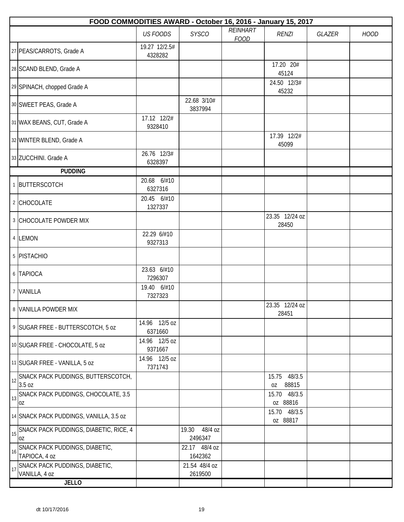|    | FOOD COMMODITIES AWARD - October 16, 2016 - January 15, 2017 |                          |                             |                         |                                |               |             |  |  |  |
|----|--------------------------------------------------------------|--------------------------|-----------------------------|-------------------------|--------------------------------|---------------|-------------|--|--|--|
|    |                                                              | <b>US FOODS</b>          | <b>SYSCO</b>                | REINHART<br><b>FOOD</b> | <b>RENZI</b>                   | <b>GLAZER</b> | <b>HOOD</b> |  |  |  |
|    | 27 PEAS/CARROTS, Grade A                                     | 19.27 12/2.5#<br>4328282 |                             |                         |                                |               |             |  |  |  |
|    | 28 SCAND BLEND, Grade A                                      |                          |                             |                         | 17.20 20#<br>45124             |               |             |  |  |  |
|    | 29 SPINACH, chopped Grade A                                  |                          |                             |                         | 24.50 12/3#<br>45232           |               |             |  |  |  |
|    | 30 SWEET PEAS, Grade A                                       |                          | 22.68 3/10#<br>3837994      |                         |                                |               |             |  |  |  |
|    | 31 WAX BEANS, CUT, Grade A                                   | 17.12 12/2#<br>9328410   |                             |                         |                                |               |             |  |  |  |
|    | 32 WINTER BLEND, Grade A                                     |                          |                             |                         | 17.39 12/2#<br>45099           |               |             |  |  |  |
|    | 33 ZUCCHINI. Grade A                                         | 26.76 12/3#<br>6328397   |                             |                         |                                |               |             |  |  |  |
|    | <b>PUDDING</b>                                               |                          |                             |                         |                                |               |             |  |  |  |
|    | 1 BUTTERSCOTCH                                               | 20.68 6/#10<br>6327316   |                             |                         |                                |               |             |  |  |  |
|    | 2 CHOCOLATE                                                  | 20.45 6/#10<br>1327337   |                             |                         |                                |               |             |  |  |  |
|    | 3 CHOCOLATE POWDER MIX                                       |                          |                             |                         | 23.35 12/24 oz<br>28450        |               |             |  |  |  |
|    | 4 LEMON                                                      | 22.29 6/#10<br>9327313   |                             |                         |                                |               |             |  |  |  |
|    | 5 PISTACHIO                                                  |                          |                             |                         |                                |               |             |  |  |  |
|    | 6 TAPIOCA                                                    | 23.63 6/#10<br>7296307   |                             |                         |                                |               |             |  |  |  |
|    | 7 VANILLA                                                    | 19.40 6/#10<br>7327323   |                             |                         |                                |               |             |  |  |  |
|    | 8 VANILLA POWDER MIX                                         |                          |                             |                         | 23.35 12/24 oz<br>28451        |               |             |  |  |  |
|    | 9 SUGAR FREE - BUTTERSCOTCH, 5 oz                            | 14.96 12/5 oz<br>6371660 |                             |                         |                                |               |             |  |  |  |
|    | 10 SUGAR FREE - CHOCOLATE, 5 oz                              | 14.96 12/5 oz<br>9371667 |                             |                         |                                |               |             |  |  |  |
|    | 11 SUGAR FREE - VANILLA, 5 oz                                | 14.96 12/5 oz<br>7371743 |                             |                         |                                |               |             |  |  |  |
| 12 | SNACK PACK PUDDINGS, BUTTERSCOTCH,<br>3.5 oz                 |                          |                             |                         | 48/3.5<br>15.75<br>88815<br>0Z |               |             |  |  |  |
| 13 | SNACK PACK PUDDINGS, CHOCOLATE, 3.5<br>OZ                    |                          |                             |                         | 15.70<br>48/3.5<br>oz 88816    |               |             |  |  |  |
|    | 14 SNACK PACK PUDDINGS, VANILLA, 3.5 oz                      |                          |                             |                         | 15.70 48/3.5<br>oz 88817       |               |             |  |  |  |
| 15 | SNACK PACK PUDDINGS, DIABETIC, RICE, 4<br>0Z                 |                          | 48/4 oz<br>19.30<br>2496347 |                         |                                |               |             |  |  |  |
| 16 | SNACK PACK PUDDINGS, DIABETIC,<br>TAPIOCA, 4 oz              |                          | 22.17 48/4 oz<br>1642362    |                         |                                |               |             |  |  |  |
| 17 | SNACK PACK PUDDINGS, DIABETIC,<br>VANILLA, 4 oz              |                          | 21.54 48/4 oz<br>2619500    |                         |                                |               |             |  |  |  |
|    | <b>JELLO</b>                                                 |                          |                             |                         |                                |               |             |  |  |  |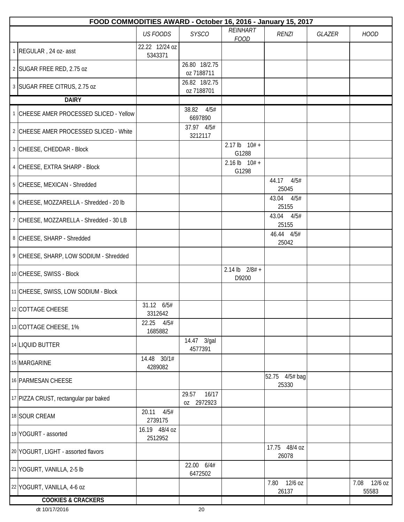| FOOD COMMODITIES AWARD - October 16, 2016 - January 15, 2017 |                           |                              |                            |                         |        |                          |  |  |  |
|--------------------------------------------------------------|---------------------------|------------------------------|----------------------------|-------------------------|--------|--------------------------|--|--|--|
|                                                              | <b>US FOODS</b>           | <b>SYSCO</b>                 | REINHART<br><b>FOOD</b>    | <b>RENZI</b>            | GLAZER | <b>HOOD</b>              |  |  |  |
| 1 REGULAR, 24 oz- asst                                       | 22.22 12/24 oz<br>5343371 |                              |                            |                         |        |                          |  |  |  |
| 2 SUGAR FREE RED, 2.75 oz                                    |                           | 26.80 18/2.75<br>oz 7188711  |                            |                         |        |                          |  |  |  |
| 3 SUGAR FREE CITRUS, 2.75 oz                                 |                           | 26.82 18/2.75<br>oz 7188701  |                            |                         |        |                          |  |  |  |
| <b>DAIRY</b>                                                 |                           |                              |                            |                         |        |                          |  |  |  |
| 1 CHEESE AMER PROCESSED SLICED - Yellow                      |                           | 4/5#<br>38.82<br>6697890     |                            |                         |        |                          |  |  |  |
| 2 CHEESE AMER PROCESSED SLICED - White                       |                           | 37.97 4/5#<br>3212117        |                            |                         |        |                          |  |  |  |
| 3 CHEESE, CHEDDAR - Block                                    |                           |                              | $2.17$ lb $10# +$<br>G1288 |                         |        |                          |  |  |  |
| 4 CHEESE, EXTRA SHARP - Block                                |                           |                              | $2.16$ lb $10# +$<br>G1298 |                         |        |                          |  |  |  |
| 5 CHEESE, MEXICAN - Shredded                                 |                           |                              |                            | 44.17<br>4/5#<br>25045  |        |                          |  |  |  |
| 6 CHEESE, MOZZARELLA - Shredded - 20 lb                      |                           |                              |                            | 43.04<br>4/5#<br>25155  |        |                          |  |  |  |
| 7 CHEESE, MOZZARELLA - Shredded - 30 LB                      |                           |                              |                            | 43.04 4/5#<br>25155     |        |                          |  |  |  |
| 8 CHEESE, SHARP - Shredded                                   |                           |                              |                            | 46.44 4/5#<br>25042     |        |                          |  |  |  |
| 9 CHEESE, SHARP, LOW SODIUM - Shredded                       |                           |                              |                            |                         |        |                          |  |  |  |
| 10 CHEESE, SWISS - Block                                     |                           |                              | 2.14 lb $2/8#$ +<br>D9200  |                         |        |                          |  |  |  |
| 11 CHEESE, SWISS, LOW SODIUM - Block                         |                           |                              |                            |                         |        |                          |  |  |  |
| 12 COTTAGE CHEESE                                            | 31.12 6/5#<br>3312642     |                              |                            |                         |        |                          |  |  |  |
| 13 COTTAGE CHEESE, 1%                                        | 22.25<br>4/5#<br>1685882  |                              |                            |                         |        |                          |  |  |  |
| 14 LIQUID BUTTER                                             |                           | 14.47 3/gal<br>4577391       |                            |                         |        |                          |  |  |  |
| 15 MARGARINE                                                 | 14.48 30/1#<br>4289082    |                              |                            |                         |        |                          |  |  |  |
| 16 PARMESAN CHEESE                                           |                           |                              |                            | 52.75 4/5# bag<br>25330 |        |                          |  |  |  |
| 17 PIZZA CRUST, rectangular par baked                        |                           | 16/17<br>29.57<br>oz 2972923 |                            |                         |        |                          |  |  |  |
| 18 SOUR CREAM                                                | 4/5#<br>20.11<br>2739175  |                              |                            |                         |        |                          |  |  |  |
| 19 YOGURT - assorted                                         | 16.19 48/4 oz<br>2512952  |                              |                            |                         |        |                          |  |  |  |
| 20 YOGURT, LIGHT - assorted flavors                          |                           |                              |                            | 17.75 48/4 oz<br>26078  |        |                          |  |  |  |
| 21 YOGURT, VANILLA, 2-5 lb                                   |                           | 22.00 6/4#<br>6472502        |                            |                         |        |                          |  |  |  |
| 22 YOGURT, VANILLA, 4-6 oz                                   |                           |                              |                            | 7.80 12/6 oz<br>26137   |        | 12/6 oz<br>7.08<br>55583 |  |  |  |
| <b>COOKIES &amp; CRACKERS</b>                                |                           |                              |                            |                         |        |                          |  |  |  |

dt 10/17/2016 20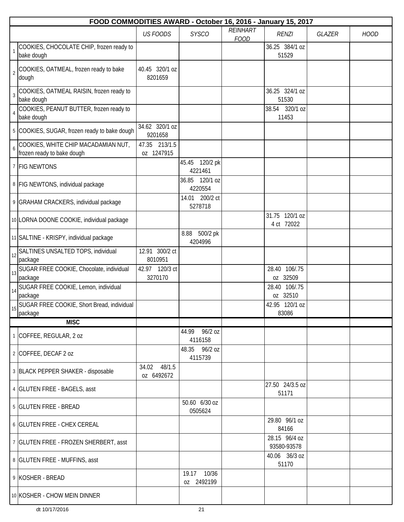|                  | FOOD COMMODITIES AWARD - October 16, 2016 - January 15, 2017      |                             |                              |                         |                              |        |             |  |  |  |
|------------------|-------------------------------------------------------------------|-----------------------------|------------------------------|-------------------------|------------------------------|--------|-------------|--|--|--|
|                  |                                                                   | <b>US FOODS</b>             | <b>SYSCO</b>                 | REINHART<br><b>FOOD</b> | <b>RENZI</b>                 | GLAZER | <b>HOOD</b> |  |  |  |
| $\mathbf{1}$     | COOKIES, CHOCOLATE CHIP, frozen ready to<br>bake dough            |                             |                              |                         | 36.25 384/1 oz<br>51529      |        |             |  |  |  |
| $\overline{2}$   | COOKIES, OATMEAL, frozen ready to bake<br>dough                   | 40.45 320/1 oz<br>8201659   |                              |                         |                              |        |             |  |  |  |
| $\overline{3}$   | COOKIES, OATMEAL RAISIN, frozen ready to<br>bake dough            |                             |                              |                         | 36.25 324/1 oz<br>51530      |        |             |  |  |  |
| $\overline{4}$   | COOKIES, PEANUT BUTTER, frozen ready to<br>bake dough             |                             |                              |                         | 38.54 320/1 oz<br>11453      |        |             |  |  |  |
|                  | 5 COOKIES, SUGAR, frozen ready to bake dough                      | 34.62 320/1 oz<br>9201658   |                              |                         |                              |        |             |  |  |  |
| $\boldsymbol{6}$ | COOKIES, WHITE CHIP MACADAMIAN NUT,<br>frozen ready to bake dough | 47.35 213/1.5<br>oz 1247915 |                              |                         |                              |        |             |  |  |  |
|                  | 7 FIG NEWTONS                                                     |                             | 45.45 120/2 pk<br>4221461    |                         |                              |        |             |  |  |  |
|                  | 8 FIG NEWTONS, individual package                                 |                             | 36.85 120/1 oz<br>4220554    |                         |                              |        |             |  |  |  |
|                  | 9 GRAHAM CRACKERS, individual package                             |                             | 200/2 ct<br>14.01<br>5278718 |                         |                              |        |             |  |  |  |
|                  | 10 LORNA DOONE COOKIE, individual package                         |                             |                              |                         | 31.75 120/1 oz<br>4 ct 72022 |        |             |  |  |  |
|                  | 11 SALTINE - KRISPY, individual package                           |                             | 500/2 pk<br>8.88<br>4204996  |                         |                              |        |             |  |  |  |
| 12               | SALTINES UNSALTED TOPS, individual<br>package                     | 12.91 300/2 ct<br>8010951   |                              |                         |                              |        |             |  |  |  |
| 13               | SUGAR FREE COOKIE, Chocolate, individual<br>package               | 42.97 120/3 ct<br>3270170   |                              |                         | 106/.75<br>28.40<br>oz 32509 |        |             |  |  |  |
| 14               | SUGAR FREE COOKIE, Lemon, individual<br>package                   |                             |                              |                         | 28.40<br>106/.75<br>oz 32510 |        |             |  |  |  |
| 15               | SUGAR FREE COOKIE, Short Bread, individual<br>package             |                             |                              |                         | 42.95 120/1 oz<br>83086      |        |             |  |  |  |
|                  | <b>MISC</b>                                                       |                             |                              |                         |                              |        |             |  |  |  |
|                  | 1 COFFEE, REGULAR, 2 oz                                           |                             | 44.99 96/2 oz<br>4116158     |                         |                              |        |             |  |  |  |
|                  | 2 COFFEE, DECAF 2 oz                                              |                             | 48.35 96/2 oz<br>4115739     |                         |                              |        |             |  |  |  |
|                  | 3 BLACK PEPPER SHAKER - disposable                                | 34.02 48/1.5<br>0Z 6492672  |                              |                         |                              |        |             |  |  |  |
|                  | 4 GLUTEN FREE - BAGELS, asst                                      |                             |                              |                         | 27.50 24/3.5 oz<br>51171     |        |             |  |  |  |
|                  | 5 GLUTEN FREE - BREAD                                             |                             | 50.60 6/30 oz<br>0505624     |                         |                              |        |             |  |  |  |
|                  | 6 GLUTEN FREE - CHEX CEREAL                                       |                             |                              |                         | 29.80 96/1 oz<br>84166       |        |             |  |  |  |
|                  | 7 GLUTEN FREE - FROZEN SHERBERT, asst                             |                             |                              |                         | 28.15 96/4 oz<br>93580-93578 |        |             |  |  |  |
|                  | 8 GLUTEN FREE - MUFFINS, asst                                     |                             |                              |                         | 40.06 36/3 oz<br>51170       |        |             |  |  |  |
|                  | 9 KOSHER - BREAD                                                  |                             | 19.17 10/36<br>0Z 2492199    |                         |                              |        |             |  |  |  |
|                  | 10 KOSHER - CHOW MEIN DINNER                                      |                             |                              |                         |                              |        |             |  |  |  |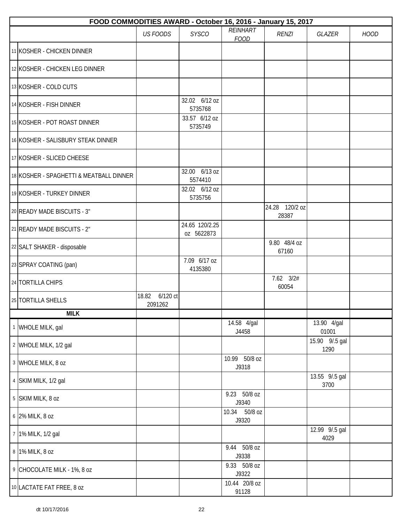| FOOD COMMODITIES AWARD - October 16, 2016 - January 15, 2017 |                              |                              |                         |                         |                        |             |  |  |  |
|--------------------------------------------------------------|------------------------------|------------------------------|-------------------------|-------------------------|------------------------|-------------|--|--|--|
|                                                              | <b>US FOODS</b>              | <b>SYSCO</b>                 | REINHART<br><b>FOOD</b> | <b>RENZI</b>            | <b>GLAZER</b>          | <b>HOOD</b> |  |  |  |
| 11 KOSHER - CHICKEN DINNER                                   |                              |                              |                         |                         |                        |             |  |  |  |
| 12 KOSHER - CHICKEN LEG DINNER                               |                              |                              |                         |                         |                        |             |  |  |  |
| 13 KOSHER - COLD CUTS                                        |                              |                              |                         |                         |                        |             |  |  |  |
| 14 KOSHER - FISH DINNER                                      |                              | 32.02 6/12 oz<br>5735768     |                         |                         |                        |             |  |  |  |
| 15 KOSHER - POT ROAST DINNER                                 |                              | 33.57 6/12 oz<br>5735749     |                         |                         |                        |             |  |  |  |
| 16 KOSHER - SALISBURY STEAK DINNER                           |                              |                              |                         |                         |                        |             |  |  |  |
| 17 KOSHER - SLICED CHEESE                                    |                              |                              |                         |                         |                        |             |  |  |  |
| 18 KOSHER - SPAGHETTI & MEATBALL DINNER                      |                              | 32.00 6/13 oz<br>5574410     |                         |                         |                        |             |  |  |  |
| 19 KOSHER - TURKEY DINNER                                    |                              | 32.02 6/12 oz<br>5735756     |                         |                         |                        |             |  |  |  |
| 20 READY MADE BISCUITS - 3"                                  |                              |                              |                         | 24.28 120/2 oz<br>28387 |                        |             |  |  |  |
| 21 READY MADE BISCUITS - 2"                                  |                              | 24.65 120/2.25<br>oz 5622873 |                         |                         |                        |             |  |  |  |
| 22 SALT SHAKER - disposable                                  |                              |                              |                         | 9.80 48/4 oz<br>67160   |                        |             |  |  |  |
| 23 SPRAY COATING (pan)                                       |                              | 7.09 6/17 oz<br>4135380      |                         |                         |                        |             |  |  |  |
| 24 TORTILLA CHIPS                                            |                              |                              |                         | $7.62$ $3/2#$<br>60054  |                        |             |  |  |  |
| 25 TORTILLA SHELLS                                           | 6/120 ct<br>18.82<br>2091262 |                              |                         |                         |                        |             |  |  |  |
| <b>MILK</b>                                                  |                              |                              |                         |                         |                        |             |  |  |  |
| 1 WHOLE MILK, gal                                            |                              |                              | 14.58 4/gal<br>J4458    |                         | 13.90 4/gal<br>01001   |             |  |  |  |
| 2 WHOLE MILK, 1/2 gal                                        |                              |                              |                         |                         | 15.90 9/.5 gal<br>1290 |             |  |  |  |
| 3 WHOLE MILK, 8 oz                                           |                              |                              | 10.99 50/8 oz<br>J9318  |                         |                        |             |  |  |  |
| 4 SKIM MILK, 1/2 gal                                         |                              |                              |                         |                         | 13.55 9/.5 gal<br>3700 |             |  |  |  |
| 5 SKIM MILK, 8 oz                                            |                              |                              | 9.23 50/8 oz<br>J9340   |                         |                        |             |  |  |  |
| 6 2% MILK, 8 oz                                              |                              |                              | 10.34 50/8 oz<br>J9320  |                         |                        |             |  |  |  |
| 7 1% MILK, 1/2 gal                                           |                              |                              |                         |                         | 12.99 9/.5 gal<br>4029 |             |  |  |  |
| 8 1% MILK, 8 oz                                              |                              |                              | 9.44 50/8 oz<br>J9338   |                         |                        |             |  |  |  |
| 9 CHOCOLATE MILK - 1%, 8 oz                                  |                              |                              | 9.33 50/8 oz<br>J9322   |                         |                        |             |  |  |  |
| 10 LACTATE FAT FREE, 8 oz                                    |                              |                              | 10.44 20/8 oz<br>91128  |                         |                        |             |  |  |  |